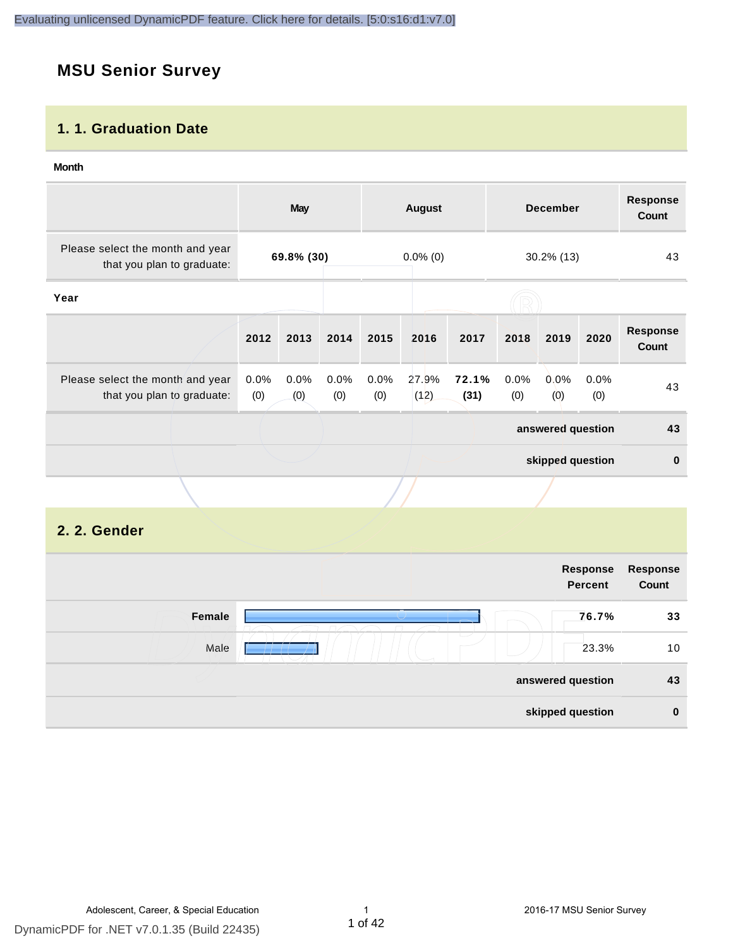# **MSU Senior Survey**

#### **1. 1. Graduation Date**

#### **Month**

|                                                                |                                         | May         |             |             | <b>August</b> |               |             | <b>December</b>   |             | <b>Response</b><br><b>Count</b> |
|----------------------------------------------------------------|-----------------------------------------|-------------|-------------|-------------|---------------|---------------|-------------|-------------------|-------------|---------------------------------|
| Please select the month and year<br>that you plan to graduate: | 69.8% (30)<br>$0.0\%$ (0)<br>30.2% (13) |             |             | 43          |               |               |             |                   |             |                                 |
| Year                                                           |                                         |             |             |             |               |               |             |                   |             |                                 |
|                                                                | 2012                                    | 2013        | 2014        | 2015        | 2016          | 2017          | 2018        | 2019              | 2020        | <b>Response</b><br>Count        |
| Please select the month and year<br>that you plan to graduate: | $0.0\%$<br>(0)                          | 0.0%<br>(0) | 0.0%<br>(0) | 0.0%<br>(0) | 27.9%<br>(12) | 72.1%<br>(31) | 0.0%<br>(0) | $0.0\%$<br>(0)    | 0.0%<br>(0) | 43                              |
|                                                                |                                         |             |             |             |               |               |             | answered question |             | 43                              |
|                                                                |                                         |             |             |             |               |               |             | skipped question  |             | $\mathbf{0}$                    |
|                                                                |                                         |             |             |             |               |               |             |                   |             |                                 |

#### **2. 2. Gender**

|        |                          | Response<br><b>Percent</b> | Response<br>Count |
|--------|--------------------------|----------------------------|-------------------|
| Female |                          | 76.7%                      | 33                |
| Male   | $\overline{\phantom{a}}$ | 23.3%                      | 10                |
|        |                          | answered question          | 43                |
|        |                          | skipped question           | $\bf{0}$          |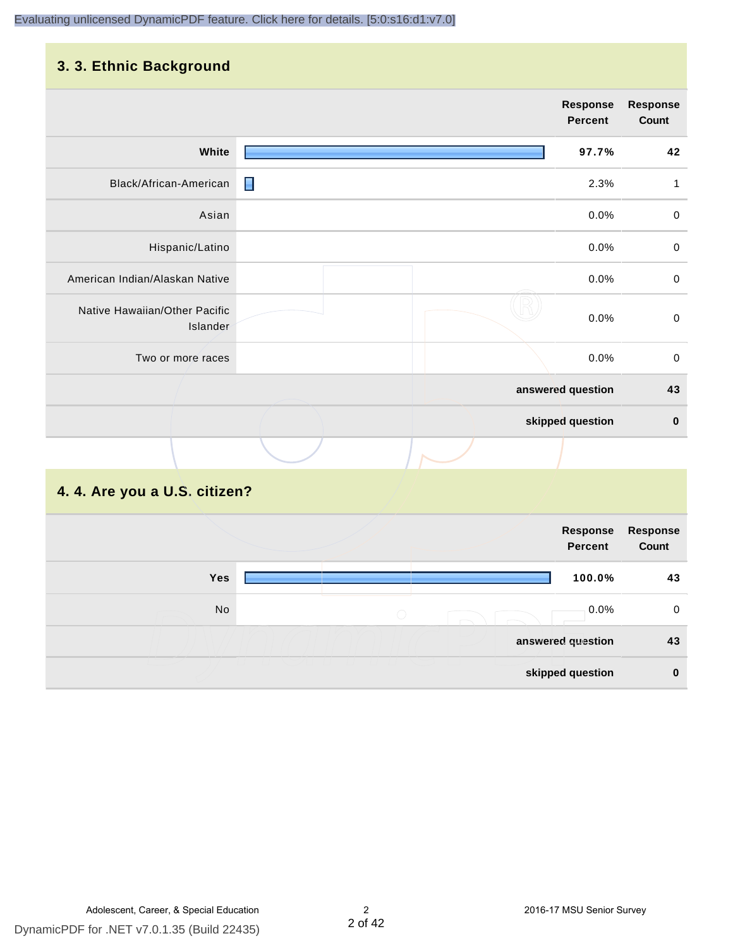#### **3. 3. Ethnic Background**

|                                           |   | Response<br>Percent | <b>Response</b><br>Count |
|-------------------------------------------|---|---------------------|--------------------------|
| White                                     |   | 97.7%               | 42                       |
| Black/African-American                    | П | 2.3%                | 1                        |
| Asian                                     |   | 0.0%                | $\mathbf 0$              |
| Hispanic/Latino                           |   | 0.0%                | $\mathbf 0$              |
| American Indian/Alaskan Native            |   | 0.0%                | $\pmb{0}$                |
| Native Hawaiian/Other Pacific<br>Islander |   | 0.0%                | $\pmb{0}$                |
| Two or more races                         |   | 0.0%                | $\mathbf 0$              |
|                                           |   | answered question   | 43                       |
|                                           |   | skipped question    | $\pmb{0}$                |
|                                           |   |                     |                          |

# **4. 4. Are you a U.S. citizen?**

|            | Response<br><b>Percent</b>                          | <b>Response</b><br>Count |
|------------|-----------------------------------------------------|--------------------------|
| <b>Yes</b> | 100.0%                                              | 43                       |
| No         | 0.0%<br>$\left(\begin{array}{c} \end{array}\right)$ | 0                        |
|            | answered question                                   | 43                       |
|            | skipped question                                    | $\bf{0}$                 |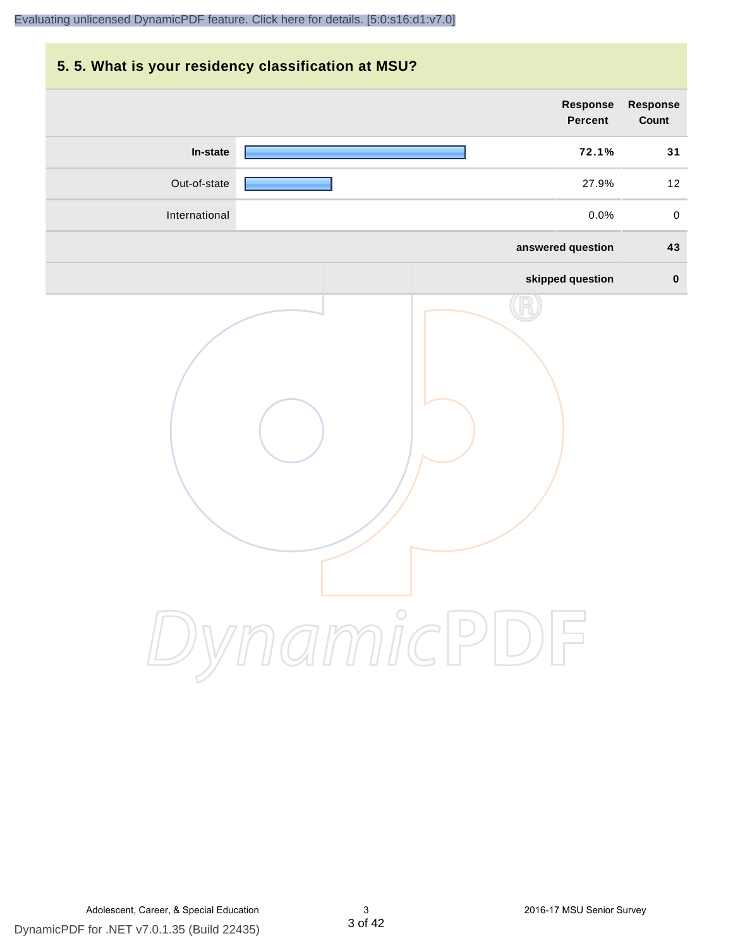# **5. 5. What is your residency classification at MSU? Response Response Percent Count In-state 72.1% 31** Out-of-state 27.9% 12 International 0.0% 0 **answered question 43 skipped question 0** DynamicPDF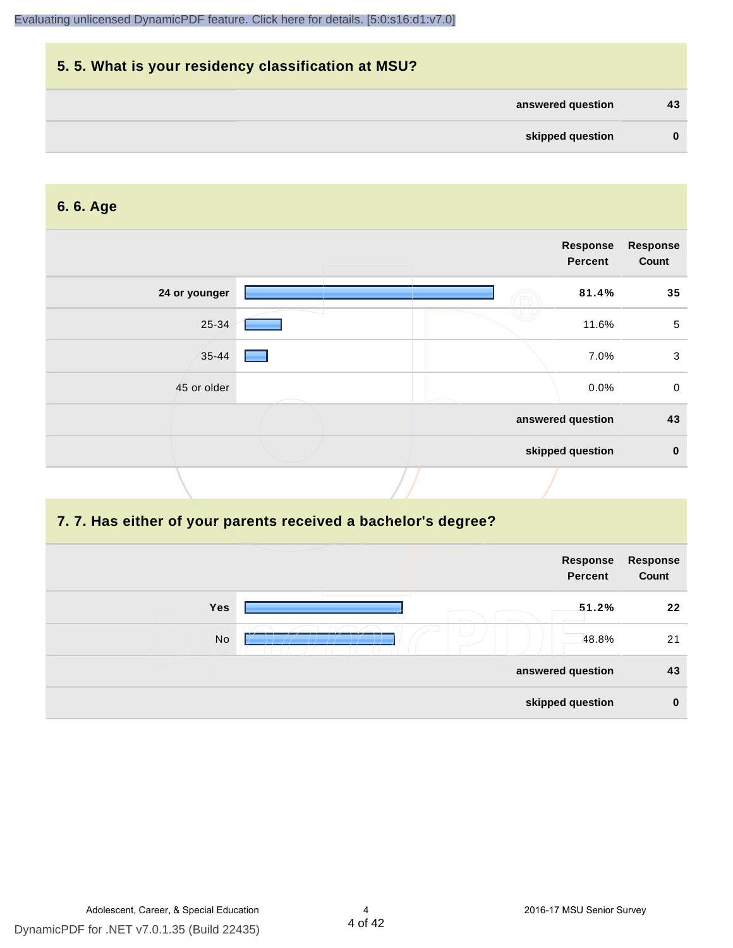|              |                   | 5.5. What is your residency classification at MSU? |
|--------------|-------------------|----------------------------------------------------|
| 43           | answered question |                                                    |
| $\mathbf{0}$ | skipped question  |                                                    |

#### **6. 6. Age**

|               |  | Response<br>Percent | <b>Response</b><br>Count |
|---------------|--|---------------------|--------------------------|
| 24 or younger |  | 81.4%               | 35                       |
| 25-34         |  | 11.6%               | $\sqrt{5}$               |
| $35 - 44$     |  | 7.0%                | 3                        |
| 45 or older   |  | $0.0\%$             | $\mathbf 0$              |
|               |  | answered question   | 43                       |
|               |  | skipped question    | $\mathbf 0$              |

#### **7. 7. Has either of your parents received a bachelor's degree?**

|     | Response<br><b>Percent</b> | Response<br>Count |
|-----|----------------------------|-------------------|
| Yes | 51.2%                      | 22                |
| No  | 48.8%                      | 21                |
|     | answered question          | 43                |
|     | skipped question           | $\bf{0}$          |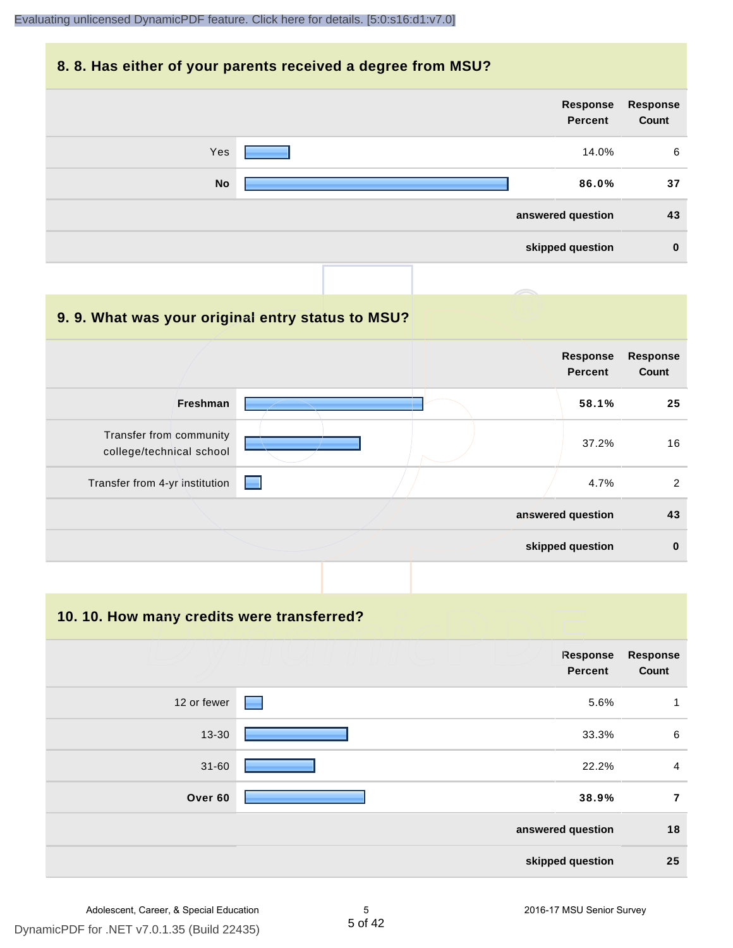#### **8. 8. Has either of your parents received a degree from MSU?**



| 9.9. What was your original entry status to MSU?    |                                   |                          |
|-----------------------------------------------------|-----------------------------------|--------------------------|
|                                                     | <b>Response</b><br><b>Percent</b> | <b>Response</b><br>Count |
| Freshman                                            | 58.1%                             | 25                       |
| Transfer from community<br>college/technical school | 37.2%                             | 16                       |
| Transfer from 4-yr institution                      | 4.7%                              | 2                        |
|                                                     | answered question                 | 43                       |
|                                                     | skipped question                  | $\mathbf 0$              |

**10. 10. How many credits were transferred?**

| <b>Response</b><br>Count | Response<br><b>Percent</b> |             |
|--------------------------|----------------------------|-------------|
| 1                        | 5.6%                       | 12 or fewer |
| 6                        | 33.3%                      | $13 - 30$   |
| $\overline{a}$           | 22.2%                      | $31 - 60$   |
| $\overline{7}$           | 38.9%                      | Over 60     |
| 18                       | answered question          |             |
| 25                       | skipped question           |             |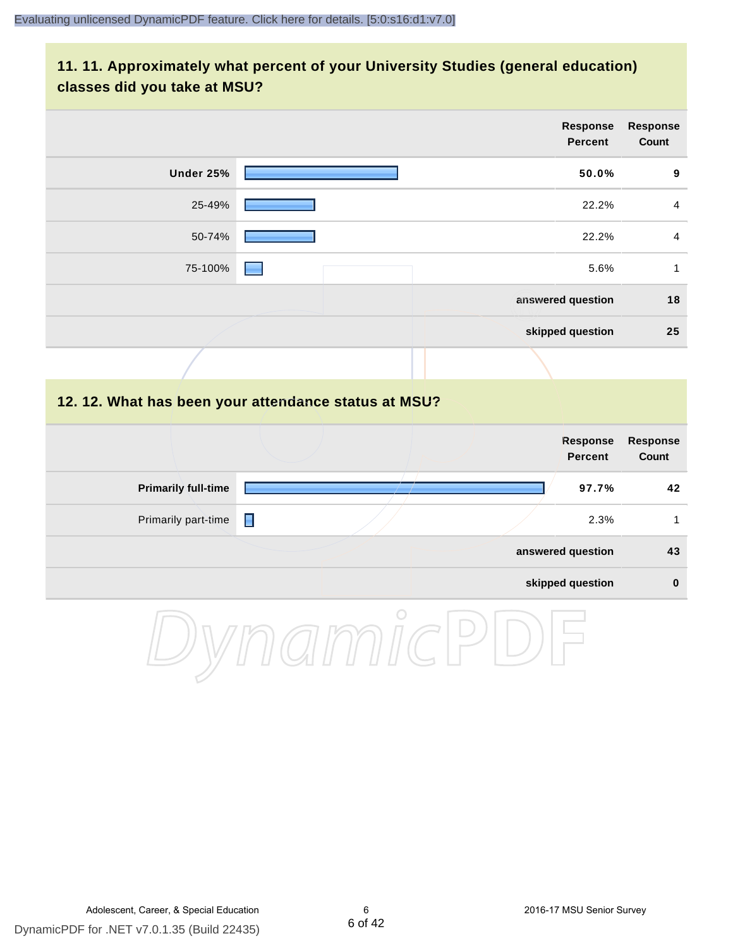#### **11. 11. Approximately what percent of your University Studies (general education) classes did you take at MSU?**

|                                                      |   |  | Response<br><b>Percent</b>        | <b>Response</b><br>Count |
|------------------------------------------------------|---|--|-----------------------------------|--------------------------|
| <b>Under 25%</b>                                     |   |  | 50.0%                             | $\boldsymbol{9}$         |
| 25-49%                                               |   |  | 22.2%                             | $\overline{4}$           |
| 50-74%                                               |   |  | 22.2%                             | $\overline{4}$           |
| 75-100%                                              |   |  | 5.6%                              | $\mathbf{1}$             |
|                                                      |   |  | answered question                 | 18                       |
|                                                      |   |  | skipped question                  | 25                       |
|                                                      |   |  |                                   |                          |
| 12. 12. What has been your attendance status at MSU? |   |  |                                   |                          |
|                                                      |   |  | <b>Response</b><br><b>Percent</b> | <b>Response</b><br>Count |
| <b>Primarily full-time</b>                           |   |  | 97.7%                             | 42                       |
| Primarily part-time                                  | Π |  | 2.3%                              | $\mathbf{1}$             |
|                                                      |   |  | answered question                 | 43                       |
|                                                      |   |  | skipped question                  | $\bf{0}$                 |
|                                                      |   |  |                                   |                          |

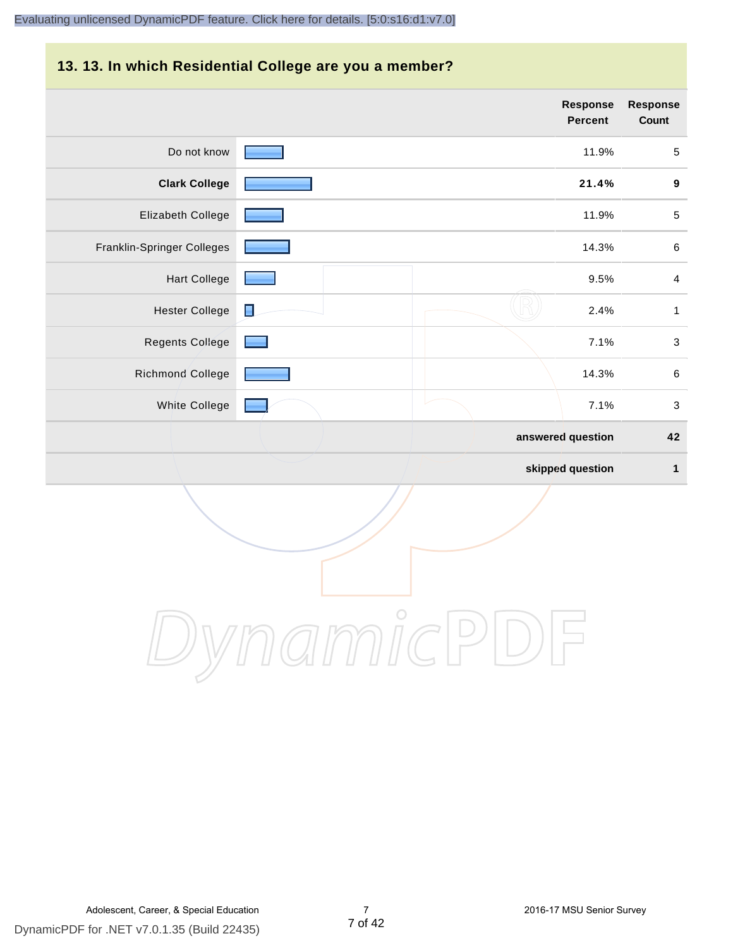#### **13. 13. In which Residential College are you a member?**

|                            |                | <b>Response</b><br><b>Percent</b> | <b>Response</b><br>Count  |
|----------------------------|----------------|-----------------------------------|---------------------------|
| Do not know                |                | 11.9%                             | $\sqrt{5}$                |
| <b>Clark College</b>       |                | 21.4%                             | $\boldsymbol{9}$          |
| Elizabeth College          |                | 11.9%                             | $\sqrt{5}$                |
| Franklin-Springer Colleges |                | 14.3%                             | $\,6\,$                   |
| <b>Hart College</b>        |                | 9.5%                              | $\overline{4}$            |
| <b>Hester College</b>      | $\blacksquare$ | 2.4%                              | $\mathbf{1}$              |
| Regents College            |                | 7.1%                              | $\ensuremath{\mathsf{3}}$ |
| <b>Richmond College</b>    |                | 14.3%                             | $\,6\,$                   |
| White College              |                | 7.1%                              | $\sqrt{3}$                |
|                            |                | answered question                 | 42                        |
|                            |                | skipped question                  | 1                         |

DynamicPDF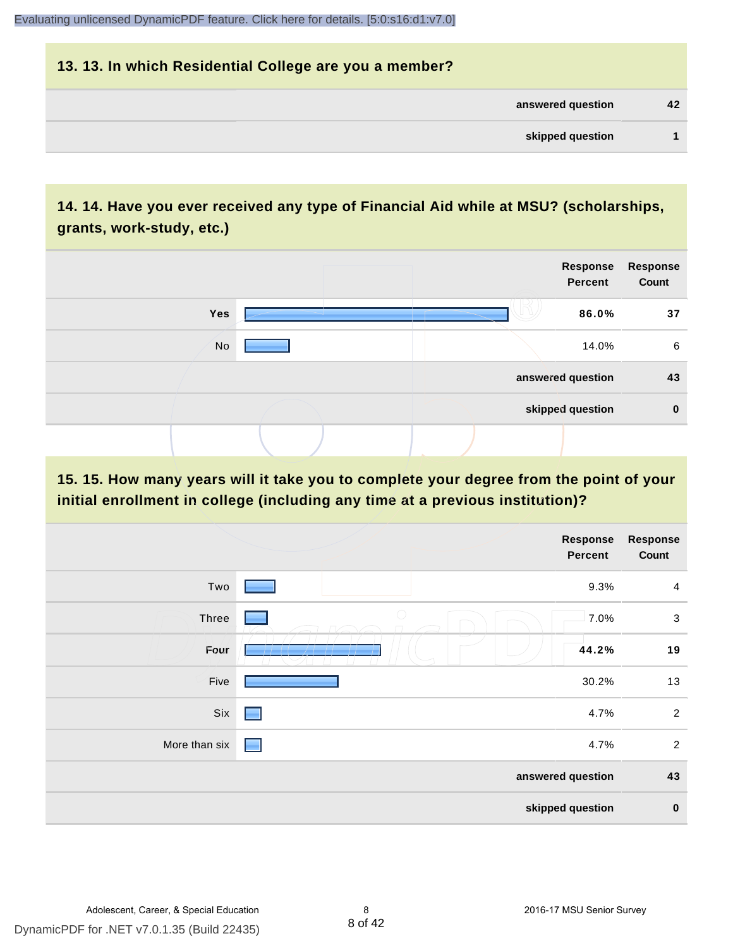# **13. 13. In which Residential College are you a member? answered question 42 skipped question 1**

# **14. 14. Have you ever received any type of Financial Aid while at MSU? (scholarships, grants, work-study, etc.)**



#### **15. 15. How many years will it take you to complete your degree from the point of your initial enrollment in college (including any time at a previous institution)?**

|               |            | <b>Response</b><br>Percent | <b>Response</b><br>Count |
|---------------|------------|----------------------------|--------------------------|
| Two           |            | 9.3%                       | $\overline{4}$           |
| Three         | $\bigcirc$ | 7.0%                       | $\mathbf{3}$             |
| Four          |            | 44.2%                      | 19                       |
| Five          |            | 30.2%                      | 13                       |
| Six           | ۰          | 4.7%                       | $\overline{2}$           |
| More than six | a se       | 4.7%                       | $\overline{2}$           |
|               |            | answered question          | 43                       |
|               |            | skipped question           | $\pmb{0}$                |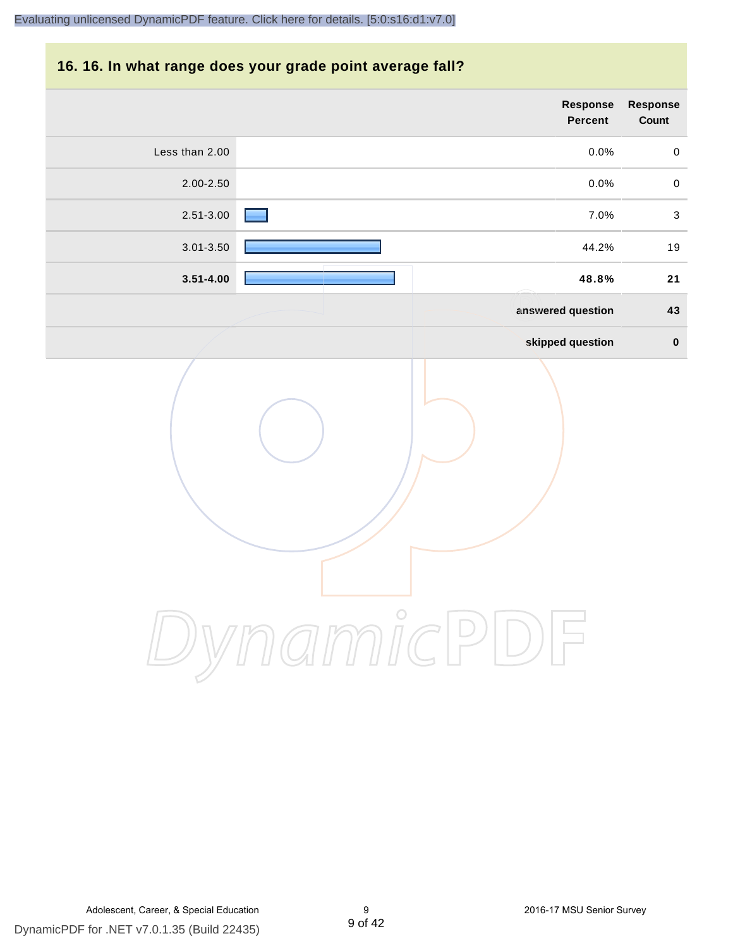#### **16. 16. In what range does your grade point average fall?**

|                | <b>Response</b><br>Percent | Response<br>Count |
|----------------|----------------------------|-------------------|
| Less than 2.00 | 0.0%                       | $\pmb{0}$         |
| 2.00-2.50      | 0.0%                       | $\pmb{0}$         |
| $2.51 - 3.00$  | 7.0%                       | $\sqrt{3}$        |
| $3.01 - 3.50$  | 44.2%                      | 19                |
| $3.51 - 4.00$  | 48.8%                      | 21                |
|                | answered question          | 43                |
|                | skipped question           | $\pmb{0}$         |
|                |                            |                   |

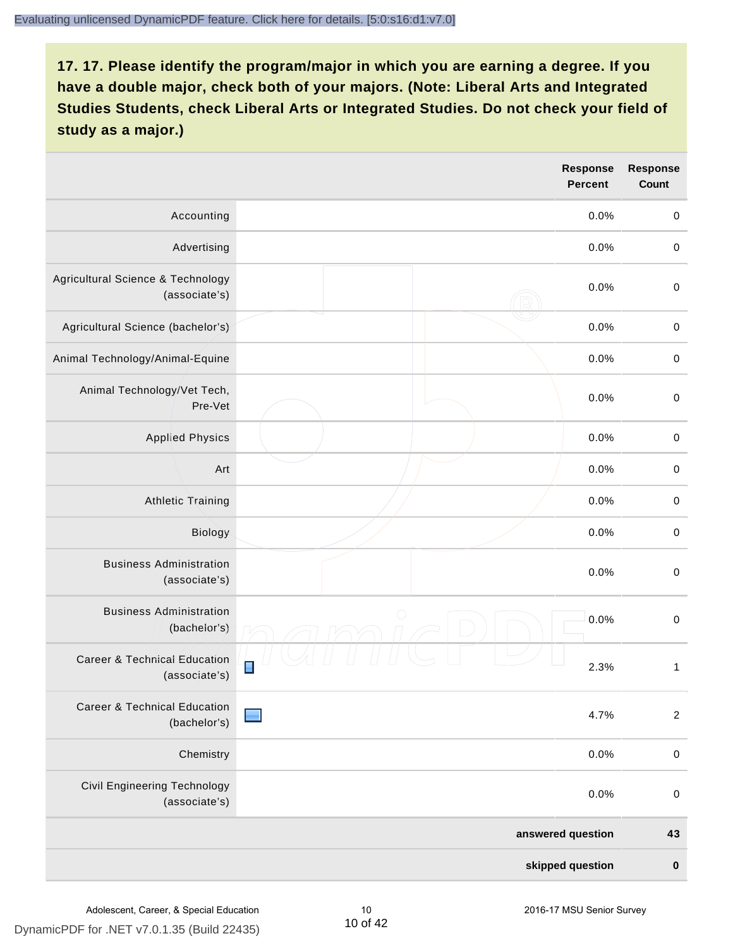|                                                          |                | <b>Response</b><br><b>Percent</b> | <b>Response</b><br><b>Count</b> |
|----------------------------------------------------------|----------------|-----------------------------------|---------------------------------|
| Accounting                                               |                | 0.0%                              | $\pmb{0}$                       |
| Advertising                                              |                | 0.0%                              | $\boldsymbol{0}$                |
| Agricultural Science & Technology<br>(associate's)       |                | 0.0%                              | $\pmb{0}$                       |
| Agricultural Science (bachelor's)                        |                | 0.0%                              | $\mathbf 0$                     |
| Animal Technology/Animal-Equine                          |                | 0.0%                              | $\mathbf 0$                     |
| Animal Technology/Vet Tech,<br>Pre-Vet                   |                | 0.0%                              | $\mathbf 0$                     |
| <b>Applied Physics</b>                                   |                | 0.0%                              | $\mathbf 0$                     |
| Art                                                      |                | 0.0%                              | $\mathbf 0$                     |
| <b>Athletic Training</b>                                 |                | 0.0%                              | $\pmb{0}$                       |
| Biology                                                  |                | 0.0%                              | $\boldsymbol{0}$                |
| <b>Business Administration</b><br>(associate's)          |                | 0.0%                              | $\pmb{0}$                       |
| <b>Business Administration</b><br>(bachelor's)           | $\bigcirc$     | 0.0%                              | $\boldsymbol{0}$                |
| <b>Career &amp; Technical Education</b><br>(associate's) | $\blacksquare$ | 2.3%                              | $\mathbf{1}$                    |
| Career & Technical Education<br>(bachelor's)             |                | 4.7%                              | $\overline{2}$                  |
| Chemistry                                                |                | 0.0%                              | $\pmb{0}$                       |
| Civil Engineering Technology<br>(associate's)            |                | 0.0%                              | $\pmb{0}$                       |
|                                                          |                | answered question                 | 43                              |
|                                                          |                | skipped question                  | $\pmb{0}$                       |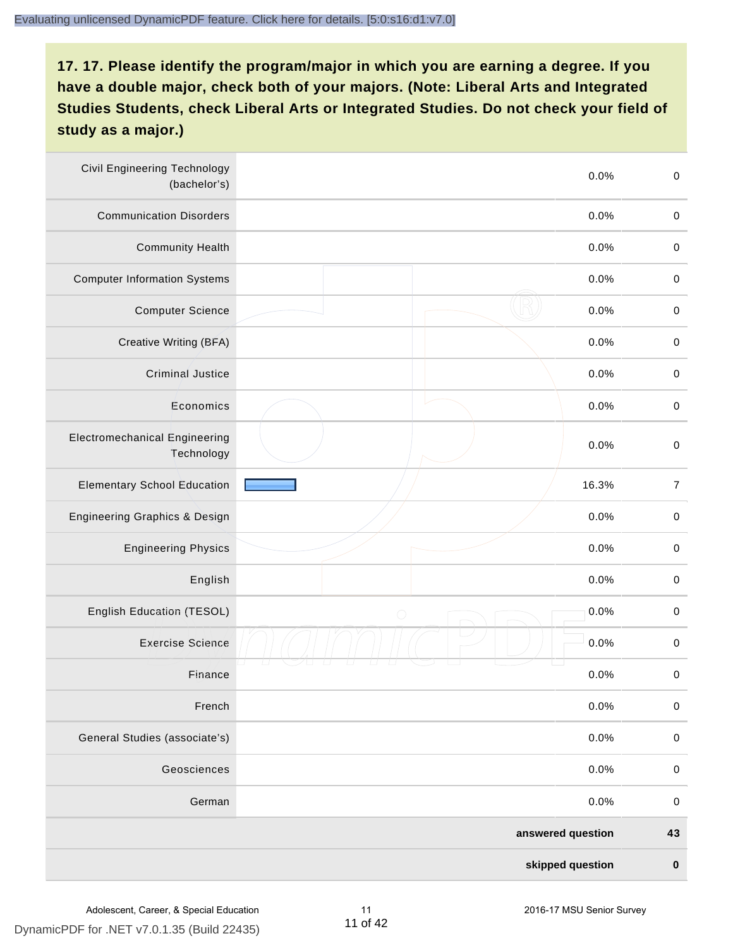| <b>Civil Engineering Technology</b><br>(bachelor's) |                   | $\mathbf 0$<br>0.0% |
|-----------------------------------------------------|-------------------|---------------------|
| <b>Communication Disorders</b>                      |                   | 0.0%<br>$\mathbf 0$ |
| <b>Community Health</b>                             |                   | 0.0%<br>$\pmb{0}$   |
| <b>Computer Information Systems</b>                 |                   | 0.0%<br>$\pmb{0}$   |
| <b>Computer Science</b>                             |                   | 0.0%<br>$\mathbf 0$ |
| Creative Writing (BFA)                              |                   | 0.0%<br>$\mathbf 0$ |
| <b>Criminal Justice</b>                             |                   | 0.0%<br>$\mathbf 0$ |
| Economics                                           |                   | 0.0%<br>$\pmb{0}$   |
| <b>Electromechanical Engineering</b><br>Technology  |                   | 0.0%<br>$\mathbf 0$ |
| <b>Elementary School Education</b>                  | 16.3%             | $\boldsymbol{7}$    |
| Engineering Graphics & Design                       |                   | 0.0%<br>$\pmb{0}$   |
| <b>Engineering Physics</b>                          |                   | 0.0%<br>$\pmb{0}$   |
| English                                             |                   | 0.0%<br>$\pmb{0}$   |
| English Education (TESOL)                           | $\bigcirc$        | 0.0%<br>$\mathbf 0$ |
| <b>Exercise Science</b>                             |                   | 0.0%<br>$\mathbf 0$ |
| Finance                                             |                   | 0.0%<br>$\,0\,$     |
| French                                              |                   | 0.0%<br>$\mathbf 0$ |
| General Studies (associate's)                       |                   | 0.0%<br>$\mathbf 0$ |
| Geosciences                                         |                   | 0.0%<br>$\mathbf 0$ |
| German                                              |                   | 0.0%<br>$\mathbf 0$ |
|                                                     | answered question | 43                  |
|                                                     | skipped question  | $\pmb{0}$           |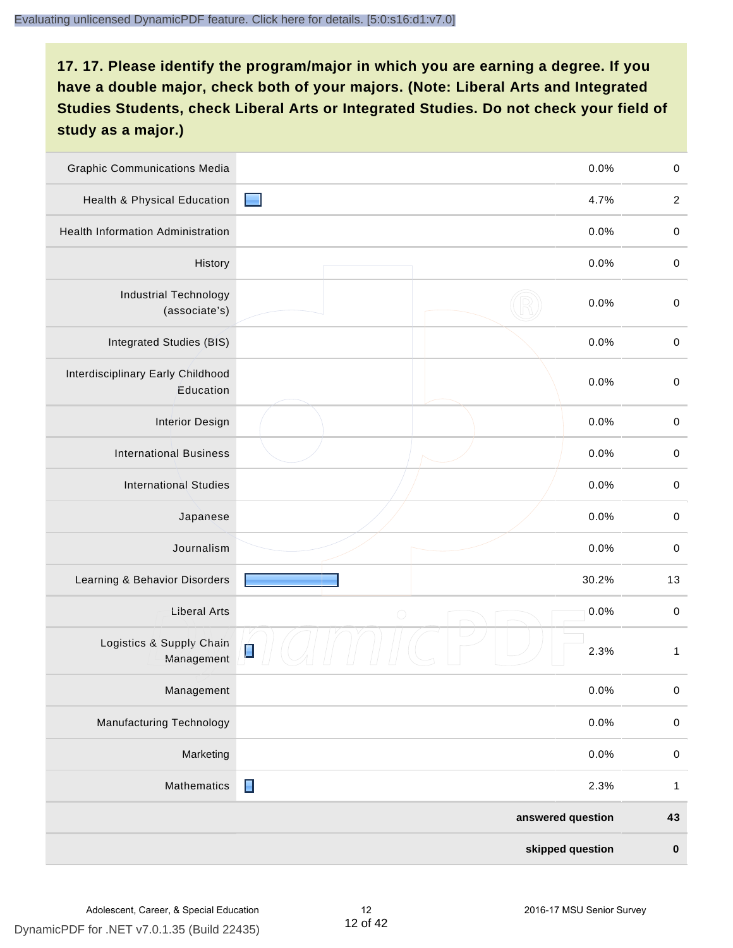| <b>Graphic Communications Media</b>            |                | 0.0%              | $\mathbf 0$      |
|------------------------------------------------|----------------|-------------------|------------------|
| Health & Physical Education                    | <b>Service</b> | 4.7%              | $\boldsymbol{2}$ |
| <b>Health Information Administration</b>       |                | 0.0%              | $\pmb{0}$        |
| History                                        |                | 0.0%              | $\mathbf 0$      |
| <b>Industrial Technology</b><br>(associate's)  |                | 0.0%              | $\mathbf 0$      |
| Integrated Studies (BIS)                       |                | 0.0%              | $\mathbf 0$      |
| Interdisciplinary Early Childhood<br>Education |                | 0.0%              | $\mathbf 0$      |
| <b>Interior Design</b>                         |                | 0.0%              | $\mathbf 0$      |
| <b>International Business</b>                  |                | 0.0%              | $\mathbf 0$      |
| <b>International Studies</b>                   |                | 0.0%              | $\mathbf 0$      |
| Japanese                                       |                | 0.0%              | $\pmb{0}$        |
| Journalism                                     |                | 0.0%              | $\,0\,$          |
| Learning & Behavior Disorders                  |                | 30.2%             | 13               |
| <b>Liberal Arts</b>                            | $\bigcirc$     | 0.0%              | $\mathbf 0$      |
| Logistics & Supply Chain<br>Management         | Ė              | 2.3%              | $\mathbf{1}$     |
| Management                                     |                | 0.0%              | $\pmb{0}$        |
| <b>Manufacturing Technology</b>                |                | 0.0%              | $\pmb{0}$        |
| Marketing                                      |                | 0.0%              | $\mathbf 0$      |
| Mathematics                                    | $\blacksquare$ | 2.3%              | $\mathbf{1}$     |
|                                                |                | answered question | 43               |
|                                                |                | skipped question  | $\mathbf 0$      |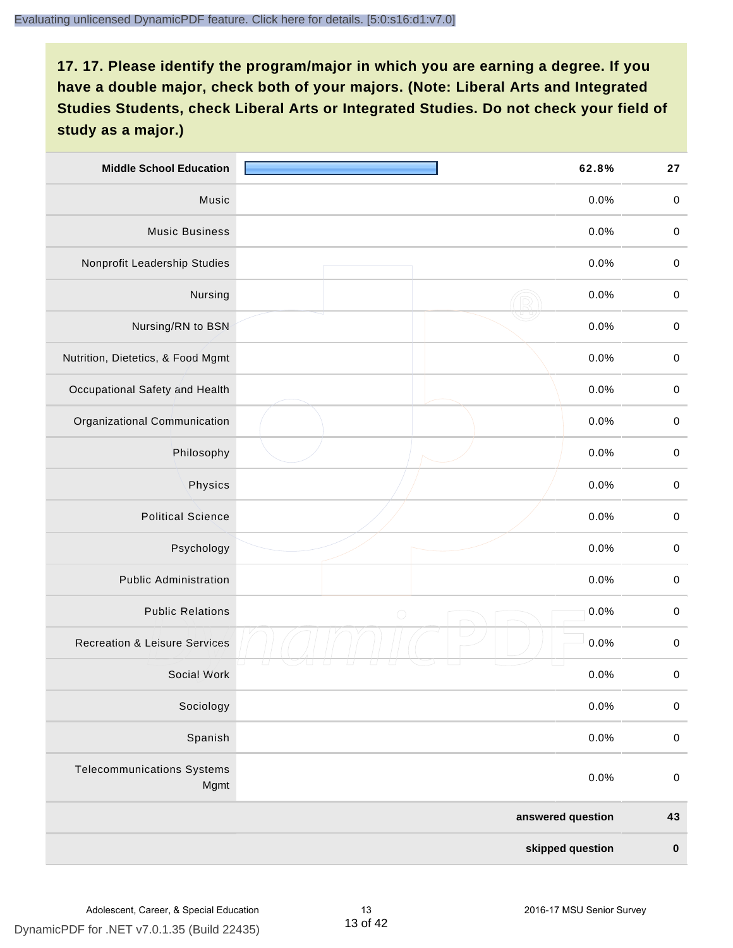| <b>Middle School Education</b>            |            | 62.8%             | 27          |
|-------------------------------------------|------------|-------------------|-------------|
| Music                                     |            | 0.0%              | $\pmb{0}$   |
| <b>Music Business</b>                     |            | 0.0%              | $\mathbf 0$ |
| Nonprofit Leadership Studies              |            | 0.0%              | $\pmb{0}$   |
| Nursing                                   |            | 0.0%              | $\pmb{0}$   |
| Nursing/RN to BSN                         |            | 0.0%              | $\,0\,$     |
| Nutrition, Dietetics, & Food Mgmt         |            | 0.0%              | $\pmb{0}$   |
| Occupational Safety and Health            |            | 0.0%              | $\mathbf 0$ |
| Organizational Communication              |            | 0.0%              | $\pmb{0}$   |
| Philosophy                                |            | 0.0%              | $\pmb{0}$   |
| Physics                                   |            | 0.0%              | $\,0\,$     |
| <b>Political Science</b>                  |            | 0.0%              | $\pmb{0}$   |
| Psychology                                |            | 0.0%              | $\mathbf 0$ |
| <b>Public Administration</b>              |            | 0.0%              | $\pmb{0}$   |
| <b>Public Relations</b>                   | $\bigcirc$ | 0.0%              | $\pmb{0}$   |
| <b>Recreation &amp; Leisure Services</b>  |            | 0.0%              | $\pmb{0}$   |
| Social Work                               |            | 0.0%              | $\pmb{0}$   |
| Sociology                                 |            | 0.0%              | $\mathbf 0$ |
| Spanish                                   |            | 0.0%              | $\mathbf 0$ |
| <b>Telecommunications Systems</b><br>Mgmt |            | 0.0%              | $\mathbf 0$ |
|                                           |            | answered question | 43          |
|                                           |            | skipped question  | $\pmb{0}$   |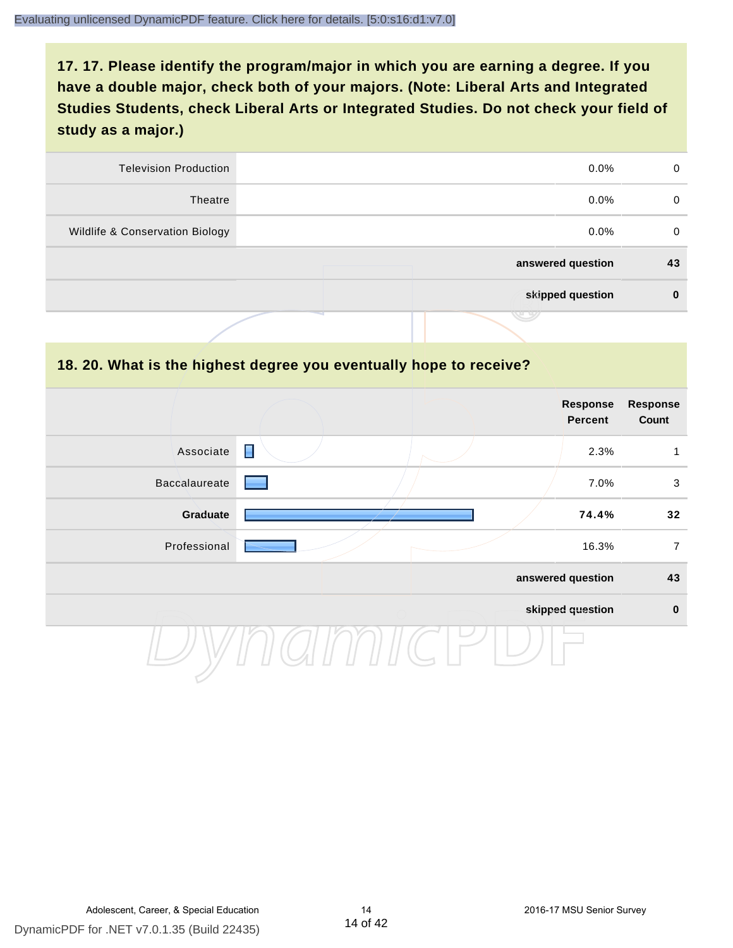| <b>Television Production</b>    | $0.0\%$           | 0  |
|---------------------------------|-------------------|----|
| Theatre                         | $0.0\%$           | 0  |
| Wildlife & Conservation Biology | $0.0\%$           | 0  |
|                                 | answered question | 43 |
|                                 | skipped question  | 0  |
|                                 | v v               |    |

#### **18. 20. What is the highest degree you eventually hope to receive?**

|                      |                | <b>Response</b><br><b>Percent</b> | <b>Response</b><br>Count |
|----------------------|----------------|-----------------------------------|--------------------------|
| Associate            | $\blacksquare$ | 2.3%                              | 1                        |
| <b>Baccalaureate</b> |                | 7.0%                              | 3                        |
| Graduate             |                | 74.4%                             | 32                       |
| Professional         |                | 16.3%                             | $\overline{7}$           |
|                      |                | answered question                 | 43                       |
|                      |                | skipped question                  | $\mathbf 0$              |
|                      |                |                                   |                          |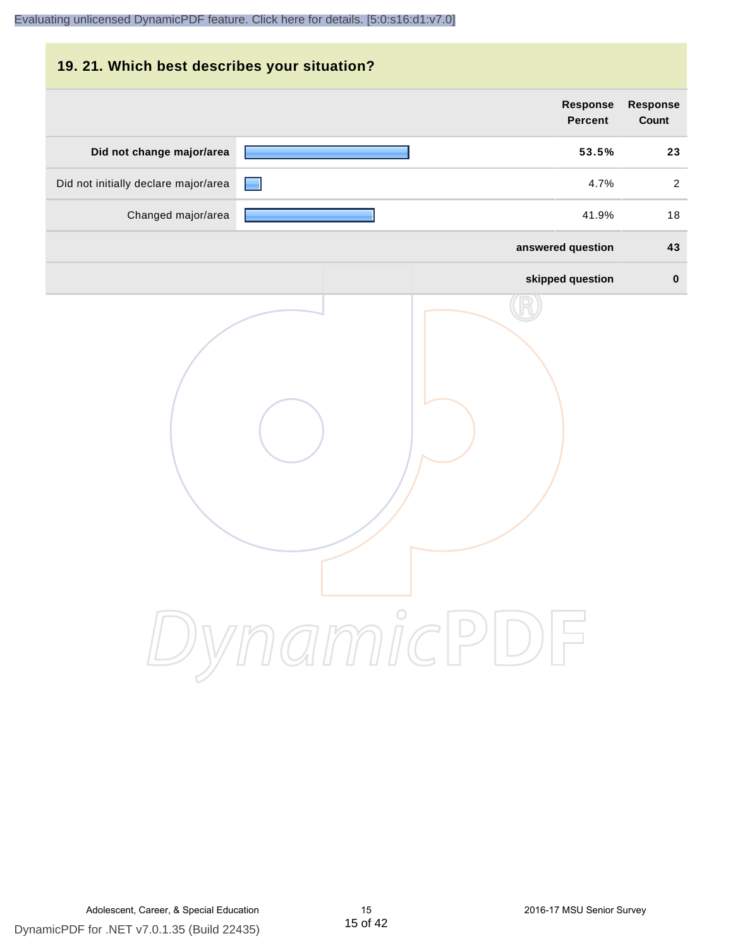| 19. 21. Which best describes your situation? |                                   |                          |
|----------------------------------------------|-----------------------------------|--------------------------|
|                                              | <b>Response</b><br><b>Percent</b> | <b>Response</b><br>Count |
| Did not change major/area                    | 53.5%                             | 23                       |
| Did not initially declare major/area         | 4.7%                              | 2                        |
| Changed major/area                           | 41.9%                             | 18                       |
|                                              | answered question                 | 43                       |
|                                              | skipped question                  | $\bf{0}$                 |
|                                              | DynamicPDF                        |                          |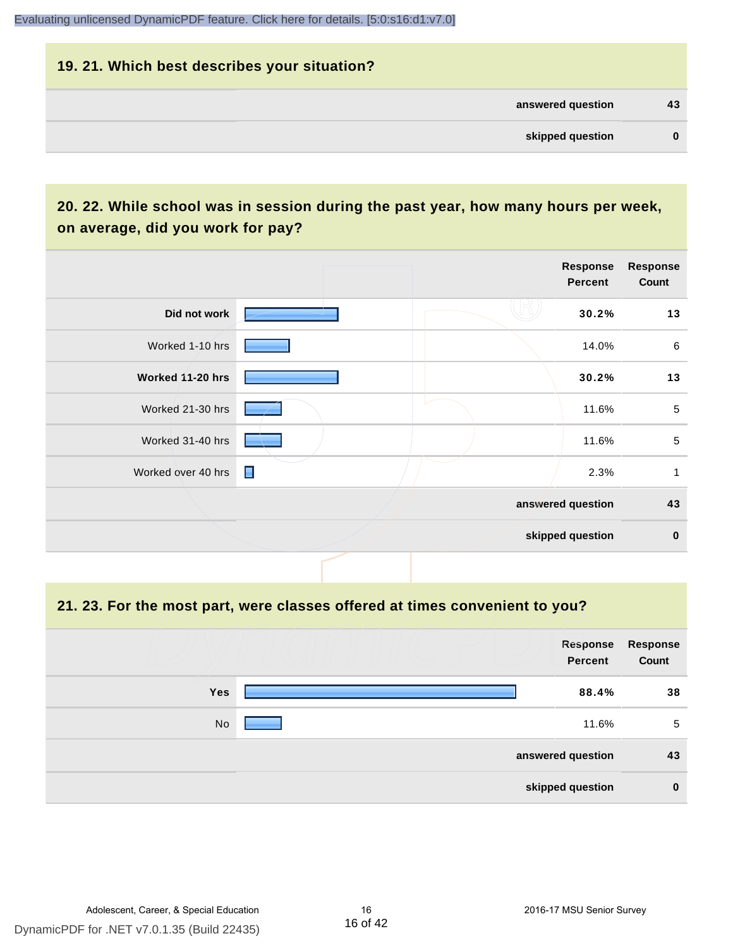# **19. 21. Which best describes your situation? answered question 43 skipped question 0**

# **20. 22. While school was in session during the past year, how many hours per week, on average, did you work for pay?**

|                    |                | Response<br>Percent | <b>Response</b><br>Count |
|--------------------|----------------|---------------------|--------------------------|
| Did not work       |                | 30.2%               | 13                       |
| Worked 1-10 hrs    |                | 14.0%               | $\,6\,$                  |
| Worked 11-20 hrs   |                | 30.2%               | 13                       |
| Worked 21-30 hrs   |                | 11.6%               | $\sqrt{5}$               |
| Worked 31-40 hrs   |                | 11.6%               | 5                        |
| Worked over 40 hrs | $\blacksquare$ | 2.3%                | 1                        |
|                    |                | answered question   | 43                       |
|                    |                | skipped question    | $\bf{0}$                 |

**21. 23. For the most part, were classes offered at times convenient to you?**

|            | Response<br>Percent | Response<br>Count |
|------------|---------------------|-------------------|
| <b>Yes</b> | 88.4%               | 38                |
| No         | 11.6%               | 5                 |
|            | answered question   | 43                |
|            | skipped question    | $\mathbf 0$       |

16 of 42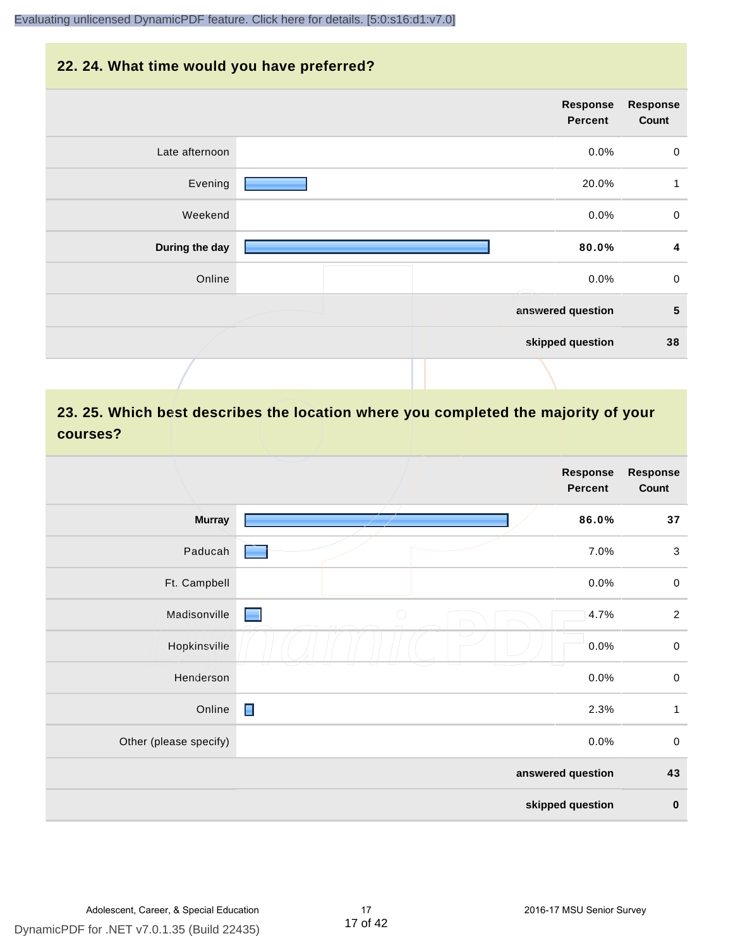#### **22. 24. What time would you have preferred?**

| <b>Response</b><br>Count | Response<br><b>Percent</b> |                |
|--------------------------|----------------------------|----------------|
| $\pmb{0}$                | 0.0%                       | Late afternoon |
| $\mathbf{1}$             | 20.0%                      | Evening        |
| $\mathbf 0$              | 0.0%                       | Weekend        |
| 4                        | 80.0%                      | During the day |
| $\mathbf 0$              | 0.0%                       | Online         |
| 5                        | answered question          |                |
| 38                       | skipped question           |                |
|                          |                            |                |

# **23. 25. Which best describes the location where you completed the majority of your courses?**

|                        |            | <b>Response</b><br><b>Percent</b> | <b>Response</b><br>Count |
|------------------------|------------|-----------------------------------|--------------------------|
| <b>Murray</b>          |            | 86.0%                             | 37                       |
| Paducah                |            | 7.0%                              | $\sqrt{3}$               |
| Ft. Campbell           |            | 0.0%                              | $\,0\,$                  |
| Madisonville           | $\bigcirc$ | 4.7%                              | $\sqrt{2}$               |
| Hopkinsville           | W.         | 0.0%                              | $\,0\,$                  |
| Henderson              |            | 0.0%                              | $\pmb{0}$                |
| Online                 | Е          | 2.3%                              | $\mathbf{1}$             |
| Other (please specify) |            | 0.0%                              | $\pmb{0}$                |
|                        |            | answered question                 | 43                       |
|                        |            | skipped question                  | $\pmb{0}$                |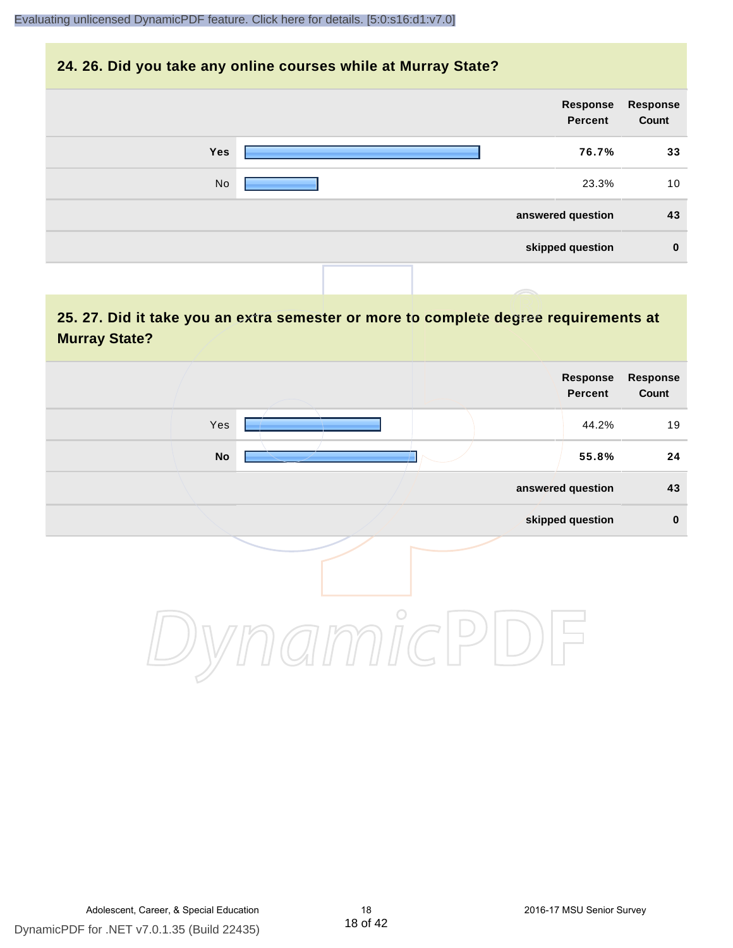#### **24. 26. Did you take any online courses while at Murray State?**

| Response<br>Count | Response<br>Percent |            |
|-------------------|---------------------|------------|
| 33                | 76.7%               | <b>Yes</b> |
| 10                | 23.3%               | No         |
| 43                | answered question   |            |
| $\bf{0}$          | skipped question    |            |
|                   |                     |            |

# **25. 27. Did it take you an extra semester or more to complete degree requirements at Murray State?**

| Response<br>Count | <b>Response</b><br>Percent |         |                        |  |
|-------------------|----------------------------|---------|------------------------|--|
| 19                | 44.2%                      |         | Yes                    |  |
| 24                | 55.8%                      |         | $\mathop{\mathsf{No}}$ |  |
| 43                | answered question          |         |                        |  |
| $\pmb{0}$         | skipped question           |         |                        |  |
|                   |                            | $\circ$ |                        |  |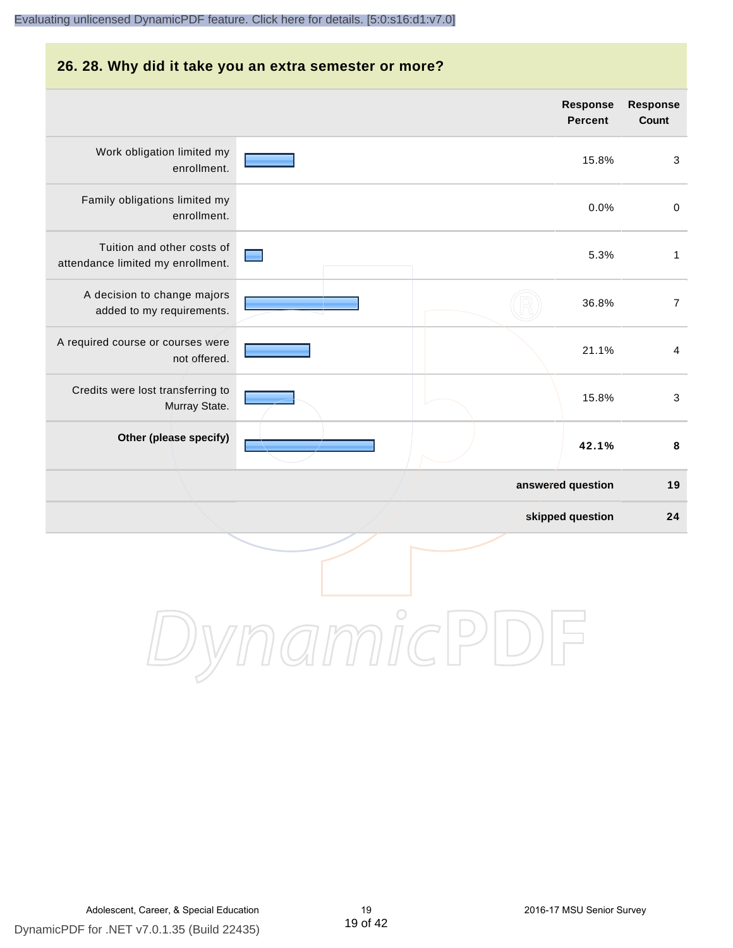#### **26. 28. Why did it take you an extra semester or more?**

|                                                                 | <b>Response</b><br><b>Percent</b> | Response<br>Count |
|-----------------------------------------------------------------|-----------------------------------|-------------------|
| Work obligation limited my<br>enrollment.                       | 15.8%                             | $\sqrt{3}$        |
| Family obligations limited my<br>enrollment.                    | 0.0%                              | $\mathbf 0$       |
| Tuition and other costs of<br>attendance limited my enrollment. | 5.3%                              | 1                 |
| A decision to change majors<br>added to my requirements.        | 36.8%                             | $\overline{7}$    |
| A required course or courses were<br>not offered.               | 21.1%                             | $\overline{4}$    |
| Credits were lost transferring to<br>Murray State.              | 15.8%                             | $\mathbf{3}$      |
| Other (please specify)                                          | 42.1%                             | 8                 |
|                                                                 | answered question                 | 19                |
|                                                                 | skipped question                  | 24                |
|                                                                 |                                   |                   |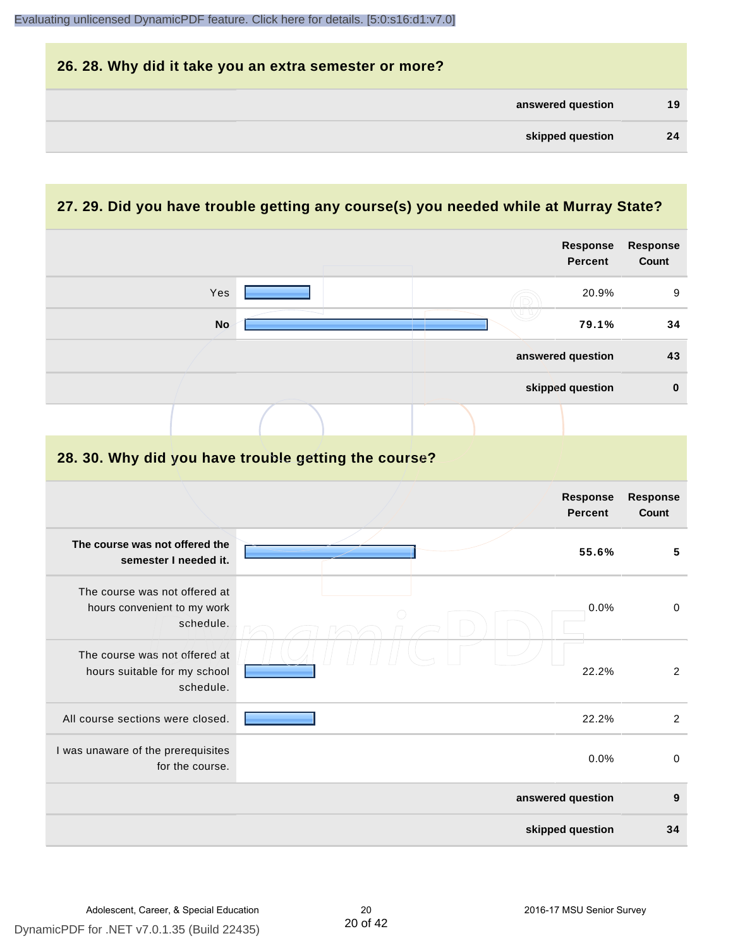

#### **27. 29. Did you have trouble getting any course(s) you needed while at Murray State?**

|                                                                            |                                                      | Response<br><b>Percent</b> | Response<br>Count |
|----------------------------------------------------------------------------|------------------------------------------------------|----------------------------|-------------------|
| Yes                                                                        |                                                      | 20.9%                      | 9                 |
| <b>No</b>                                                                  |                                                      | 79.1%                      | 34                |
|                                                                            |                                                      | answered question          | 43                |
|                                                                            |                                                      | skipped question           | $\mathbf 0$       |
|                                                                            |                                                      |                            |                   |
|                                                                            | 28. 30. Why did you have trouble getting the course? |                            |                   |
|                                                                            |                                                      | Response<br><b>Percent</b> | Response<br>Count |
| The course was not offered the<br>semester I needed it.                    |                                                      | 55.6%                      | 5                 |
| The course was not offered at<br>hours convenient to my work<br>schedule.  |                                                      | 0.0%                       | $\mathbf 0$       |
| The course was not offered at<br>hours suitable for my school<br>schedule. |                                                      | 22.2%                      | 2                 |
| All course sections were closed.                                           |                                                      | 22.2%                      | $\overline{2}$    |
| I was unaware of the prerequisites<br>for the course.                      |                                                      | 0.0%                       | $\boldsymbol{0}$  |
|                                                                            |                                                      | answered question          | 9                 |
|                                                                            |                                                      | skipped question           | 34                |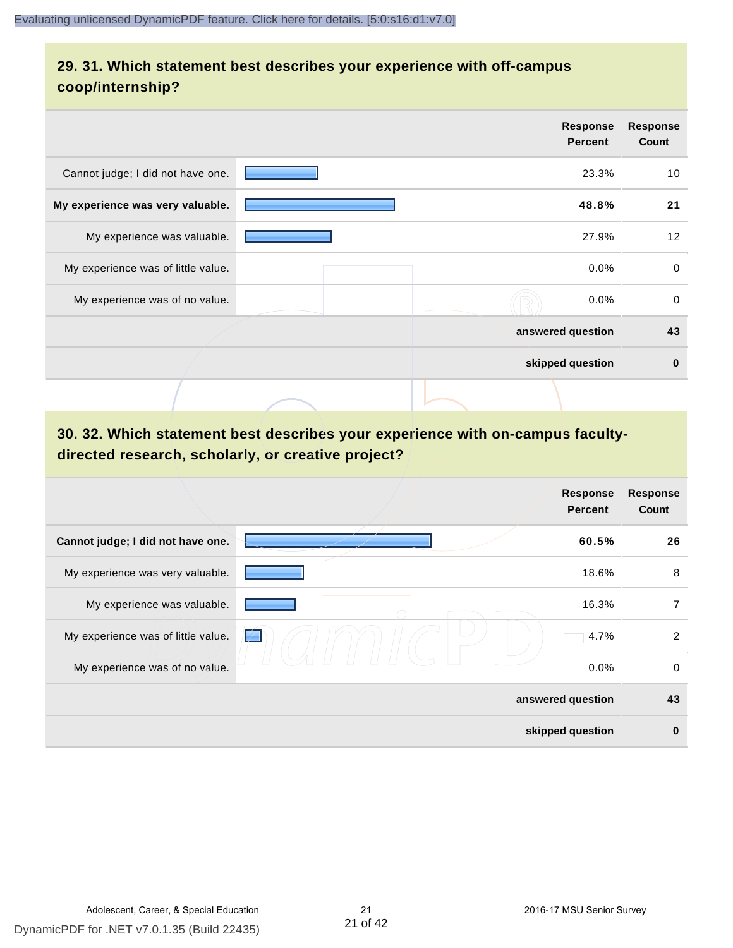# **29. 31. Which statement best describes your experience with off-campus coop/internship?**

|                                    | <b>Response</b><br><b>Percent</b> | <b>Response</b><br>Count |
|------------------------------------|-----------------------------------|--------------------------|
| Cannot judge; I did not have one.  | 23.3%                             | 10                       |
| My experience was very valuable.   | 48.8%                             | 21                       |
| My experience was valuable.        | 27.9%                             | 12                       |
| My experience was of little value. | $0.0\%$                           | $\mathbf 0$              |
| My experience was of no value.     | 0.0%                              | $\Omega$                 |
|                                    | answered question                 | 43                       |
|                                    | skipped question                  | $\bf{0}$                 |
|                                    |                                   |                          |

# **30. 32. Which statement best describes your experience with on-campus facultydirected research, scholarly, or creative project?**

|                                    | <b>Response</b><br><b>Percent</b> | <b>Response</b><br>Count |
|------------------------------------|-----------------------------------|--------------------------|
| Cannot judge; I did not have one.  | 60.5%                             | 26                       |
| My experience was very valuable.   | 18.6%                             | 8                        |
| My experience was valuable.        | 16.3%                             | 7                        |
| My experience was of little value. | 4.7%<br>$\neq$                    | $\overline{2}$           |
| My experience was of no value.     | 0.0%                              | 0                        |
|                                    | answered question                 | 43                       |
|                                    | skipped question                  | 0                        |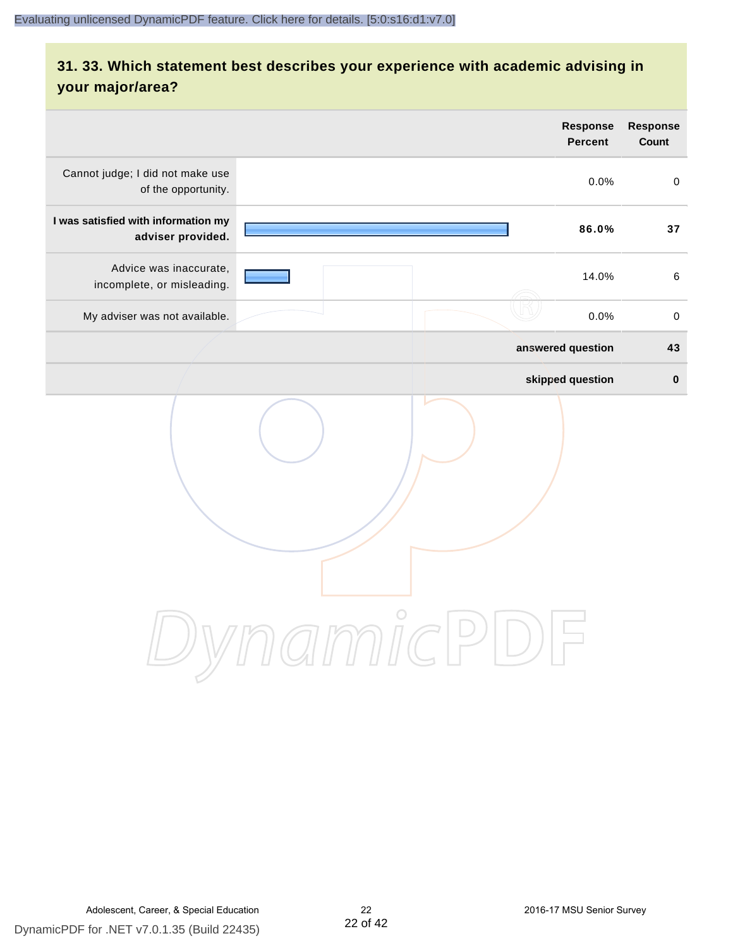# **31. 33. Which statement best describes your experience with academic advising in your major/area?**

|                                                          | Response<br><b>Percent</b>                                              | <b>Response</b><br>Count |
|----------------------------------------------------------|-------------------------------------------------------------------------|--------------------------|
| Cannot judge; I did not make use<br>of the opportunity.  | 0.0%                                                                    | $\mathbf 0$              |
| I was satisfied with information my<br>adviser provided. | 86.0%                                                                   | 37                       |
| Advice was inaccurate,<br>incomplete, or misleading.     | 14.0%                                                                   | $\,6\,$                  |
| My adviser was not available.                            | 0.0%                                                                    | $\,0\,$                  |
|                                                          | answered question                                                       | 43                       |
|                                                          | skipped question                                                        | $\pmb{0}$                |
|                                                          | amicl<br>$\left( \begin{array}{c} \end{array} \right)$<br>$\frac{1}{2}$ |                          |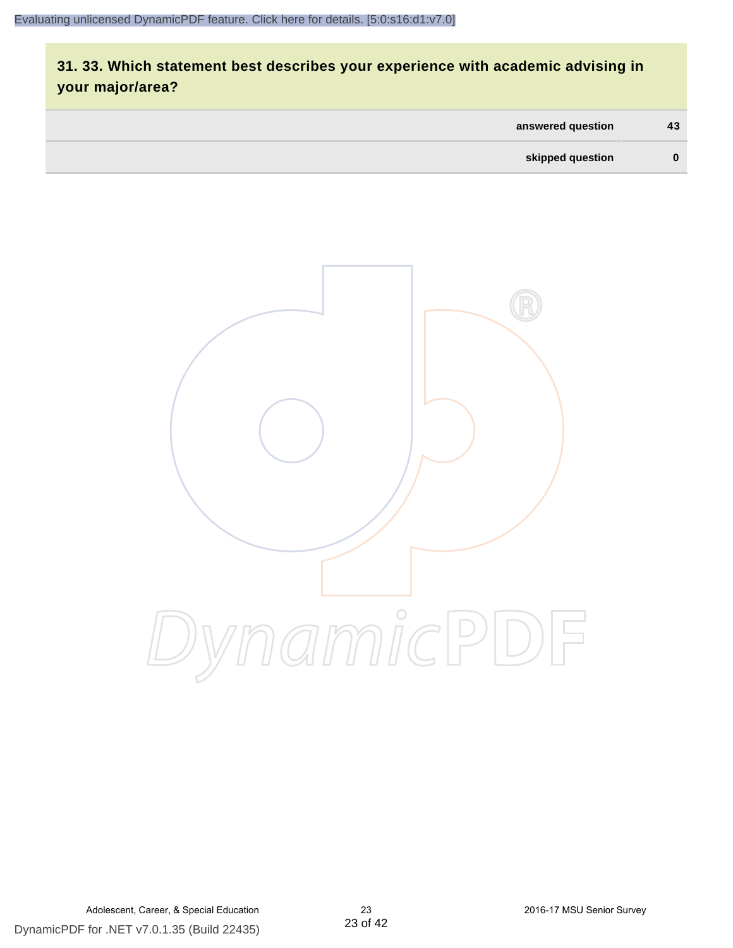# **31. 33. Which statement best describes your experience with academic advising in your major/area?**

| answered question | 43       |
|-------------------|----------|
| skipped question  | $\bf{0}$ |

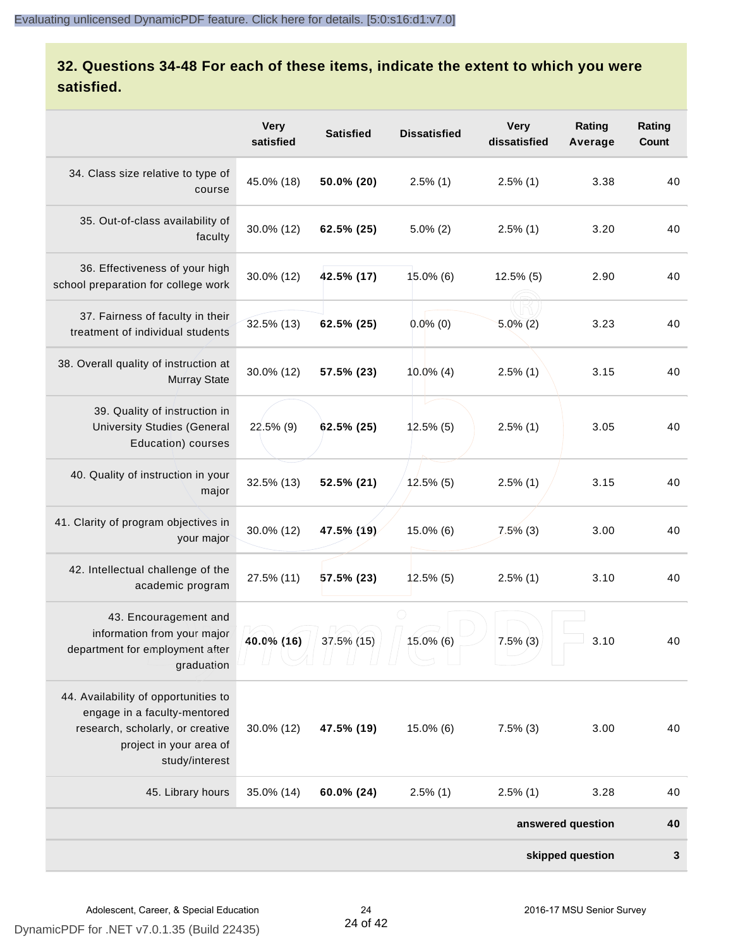# **32. Questions 34-48 For each of these items, indicate the extent to which you were satisfied.**

|                                                                                                                                                       | <b>Very</b><br>satisfied | <b>Satisfied</b> | <b>Dissatisfied</b> | <b>Very</b><br>dissatisfied | Rating<br>Average | Rating<br>Count |
|-------------------------------------------------------------------------------------------------------------------------------------------------------|--------------------------|------------------|---------------------|-----------------------------|-------------------|-----------------|
| 34. Class size relative to type of<br>course                                                                                                          | 45.0% (18)               | 50.0% (20)       | $2.5\%$ (1)         | $2.5\%$ (1)                 | 3.38              | 40              |
| 35. Out-of-class availability of<br>faculty                                                                                                           | 30.0% (12)               | 62.5% (25)       | $5.0\%$ (2)         | $2.5\%$ (1)                 | 3.20              | 40              |
| 36. Effectiveness of your high<br>school preparation for college work                                                                                 | 30.0% (12)               | 42.5% (17)       | $15.0\%$ (6)        | $12.5\%$ (5)                | 2.90              | 40              |
| 37. Fairness of faculty in their<br>treatment of individual students                                                                                  | 32.5% (13)               | 62.5% (25)       | $0.0\%$ (0)         | $5.0\%$ (2)                 | 3.23              | 40              |
| 38. Overall quality of instruction at<br><b>Murray State</b>                                                                                          | 30.0% (12)               | 57.5% (23)       | $10.0\%$ (4)        | $2.5\%$ (1)                 | 3.15              | 40              |
| 39. Quality of instruction in<br><b>University Studies (General</b><br>Education) courses                                                             | 22.5% (9)                | 62.5% (25)       | $12.5\%$ (5)        | $2.5\%$ (1)                 | 3.05              | 40              |
| 40. Quality of instruction in your<br>major                                                                                                           | 32.5% (13)               | 52.5% (21)       | $12.5\%$ (5)        | $2.5\%$ (1)                 | 3.15              | 40              |
| 41. Clarity of program objectives in<br>your major                                                                                                    | 30.0% (12)               | 47.5% (19)       | 15.0% (6)           | $7.5\%$ (3)                 | 3.00              | 40              |
| 42. Intellectual challenge of the<br>academic program                                                                                                 | 27.5% (11)               | $57.5\%$ (23)    | $12.5\%$ (5)        | $2.5\%$ (1)                 | 3.10              | 40              |
| 43. Encouragement and<br>information from your major<br>department for employment after<br>graduation                                                 | 40.0% (16)               | 37.5% (15)       | $15.0\%$ (6)        | $7.5\%$ (3)                 | 3.10              | 40              |
| 44. Availability of opportunities to<br>engage in a faculty-mentored<br>research, scholarly, or creative<br>project in your area of<br>study/interest | 30.0% (12)               | 47.5% (19)       | 15.0% (6)           | $7.5\%$ (3)                 | 3.00              | 40              |
| 45. Library hours                                                                                                                                     | 35.0% (14)               | 60.0% (24)       | $2.5\%$ (1)         | $2.5\%$ (1)                 | 3.28              | 40              |
|                                                                                                                                                       |                          |                  |                     |                             | answered question | 40              |
|                                                                                                                                                       |                          |                  |                     |                             | skipped question  | $\mathbf 3$     |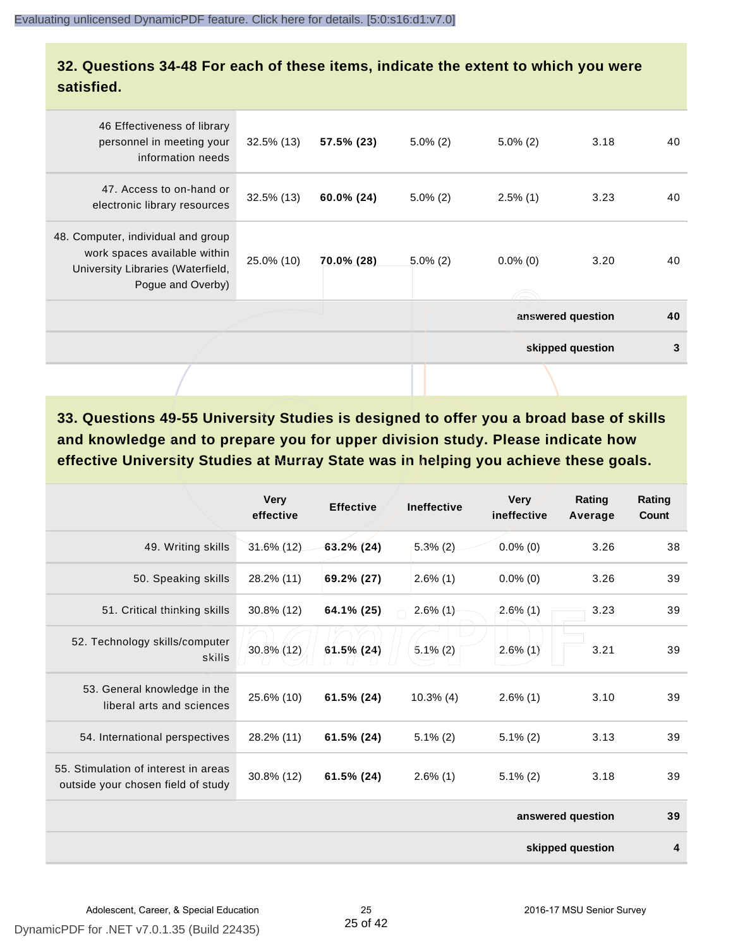#### **32. Questions 34-48 For each of these items, indicate the extent to which you were satisfied.**

|                                                                                                                              |               |               |             |                   | skipped question | 3  |
|------------------------------------------------------------------------------------------------------------------------------|---------------|---------------|-------------|-------------------|------------------|----|
|                                                                                                                              |               |               |             | answered question |                  | 40 |
| 48. Computer, individual and group<br>work spaces available within<br>University Libraries (Waterfield,<br>Pogue and Overby) | 25.0% (10)    | 70.0% (28)    | $5.0\%$ (2) | $0.0\%$ (0)       | 3.20             | 40 |
| 47. Access to on-hand or<br>electronic library resources                                                                     | $32.5\%$ (13) | $60.0\%$ (24) | $5.0\%$ (2) | $2.5\%$ (1)       | 3.23             | 40 |
| 46 Effectiveness of library<br>personnel in meeting your<br>information needs                                                | $32.5\%$ (13) | 57.5% (23)    | $5.0\%$ (2) | $5.0\%$ (2)       | 3.18             | 40 |
|                                                                                                                              |               |               |             |                   |                  |    |

**33. Questions 49-55 University Studies is designed to offer you a broad base of skills and knowledge and to prepare you for upper division study. Please indicate how effective University Studies at Murray State was in helping you achieve these goals.**

|                                                                            | <b>Very</b><br>effective | <b>Effective</b> | <b>Ineffective</b> | <b>Very</b><br>ineffective | Rating<br>Average | Rating<br>Count |
|----------------------------------------------------------------------------|--------------------------|------------------|--------------------|----------------------------|-------------------|-----------------|
| 49. Writing skills                                                         | 31.6% (12)               | $63.2\%$ (24)    | $5.3\%$ (2)        | $0.0\%$ (0)                | 3.26              | 38              |
| 50. Speaking skills                                                        | 28.2% (11)               | 69.2% (27)       | $2.6\%$ (1)        | $0.0\%$ (0)                | 3.26              | 39              |
| 51. Critical thinking skills                                               | $30.8\%$ (12)            | 64.1% (25)       | $2.6\%$ (1)        | $2.6\%$ (1)                | 3.23              | 39              |
| 52. Technology skills/computer<br>skills                                   | 30.8% (12)               | $61.5\%$ (24)    | $5.1\%(2)$         | $2.6\%$ (1)                | 3.21              | 39              |
| 53. General knowledge in the<br>liberal arts and sciences                  | 25.6% (10)               | 61.5% (24)       | $10.3\%$ (4)       | $2.6\%$ (1)                | 3.10              | 39              |
| 54. International perspectives                                             | 28.2% (11)               | 61.5% (24)       | $5.1\%$ (2)        | $5.1\%$ (2)                | 3.13              | 39              |
| 55. Stimulation of interest in areas<br>outside your chosen field of study | 30.8% (12)               | 61.5% (24)       | $2.6\%$ (1)        | $5.1\%$ (2)                | 3.18              | 39              |
|                                                                            |                          |                  |                    |                            | answered question | 39              |
|                                                                            |                          |                  |                    |                            | skipped question  | 4               |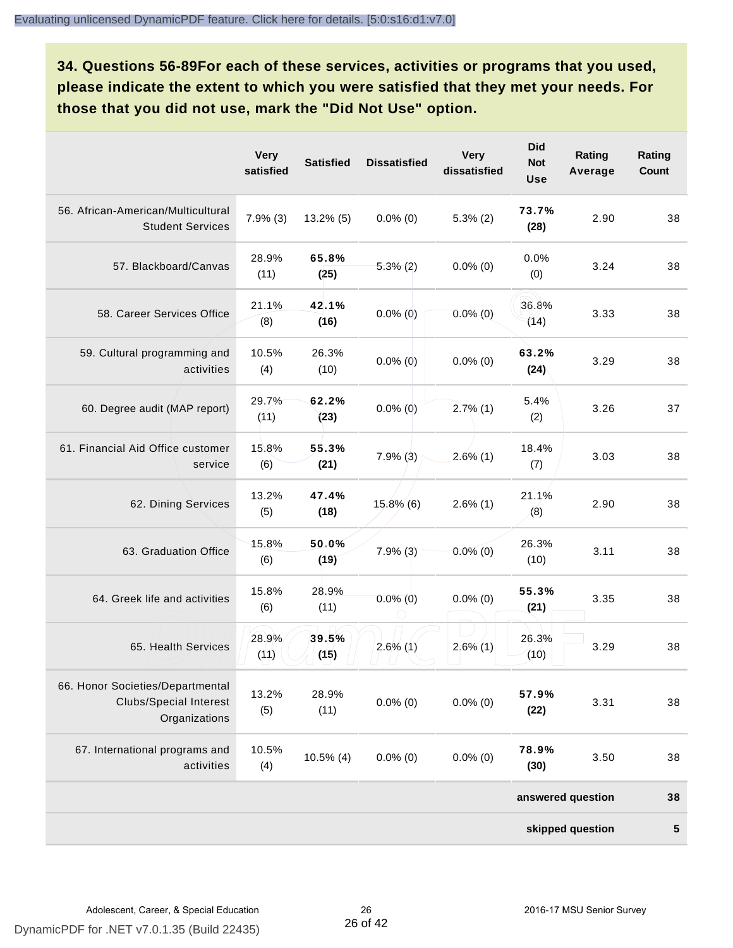**34. Questions 56-89For each of these services, activities or programs that you used, please indicate the extent to which you were satisfied that they met your needs. For those that you did not use, mark the "Did Not Use" option.**

|                                                                                    | <b>Very</b><br>satisfied | <b>Satisfied</b> | <b>Dissatisfied</b> | <b>Very</b><br>dissatisfied | <b>Did</b><br><b>Not</b><br><b>Use</b> | Rating<br>Average | Rating<br>Count |
|------------------------------------------------------------------------------------|--------------------------|------------------|---------------------|-----------------------------|----------------------------------------|-------------------|-----------------|
| 56. African-American/Multicultural<br><b>Student Services</b>                      | 7.9%(3)                  | $13.2\%$ (5)     | $0.0\%$ (0)         | $5.3\%$ (2)                 | 73.7%<br>(28)                          | 2.90              | 38              |
| 57. Blackboard/Canvas                                                              | 28.9%<br>(11)            | 65.8%<br>(25)    | $5.3\%(2)$          | $0.0\%$ (0)                 | 0.0%<br>(0)                            | 3.24              | 38              |
| 58. Career Services Office                                                         | 21.1%<br>(8)             | 42.1%<br>(16)    | $0.0\%$ (0)         | $0.0\%$ (0)                 | 36.8%<br>(14)                          | 3.33              | 38              |
| 59. Cultural programming and<br>activities                                         | 10.5%<br>(4)             | 26.3%<br>(10)    | $0.0\%$ (0)         | $0.0\%$ (0)                 | 63.2%<br>(24)                          | 3.29              | 38              |
| 60. Degree audit (MAP report)                                                      | 29.7%<br>(11)            | 62.2%<br>(23)    | $0.0\%$ (0)         | $2.7\%$ (1)                 | 5.4%<br>(2)                            | 3.26              | 37              |
| 61. Financial Aid Office customer<br>service                                       | 15.8%<br>(6)             | 55.3%<br>(21)    | $7.9\%$ (3)         | $2.6\%$ (1)                 | 18.4%<br>(7)                           | 3.03              | 38              |
| 62. Dining Services                                                                | 13.2%<br>(5)             | 47.4%<br>(18)    | $15.8\%$ (6)        | $2.6\%$ (1)                 | 21.1%<br>(8)                           | 2.90              | 38              |
| 63. Graduation Office                                                              | 15.8%<br>(6)             | 50.0%<br>(19)    | 7.9%(3)             | $0.0\%$ (0)                 | 26.3%<br>(10)                          | 3.11              | 38              |
| 64. Greek life and activities                                                      | 15.8%<br>(6)             | 28.9%<br>(11)    | $0.0\%$ (0)         | $0.0\%$ (0)                 | 55.3%<br>(21)                          | 3.35              | 38              |
| 65. Health Services                                                                | 28.9%<br>(11)            | 39.5%<br>(15)    | $2.6\%$ (1)         | $2.6\%$ (1)                 | 26.3%<br>(10)                          | 3.29              | 38              |
| 66. Honor Societies/Departmental<br><b>Clubs/Special Interest</b><br>Organizations | 13.2%<br>(5)             | 28.9%<br>(11)    | $0.0\%$ (0)         | $0.0\%$ (0)                 | 57.9%<br>(22)                          | 3.31              | 38              |
| 67. International programs and<br>activities                                       | 10.5%<br>(4)             | $10.5\%$ (4)     | $0.0\%$ (0)         | $0.0\%$ (0)                 | 78.9%<br>(30)                          | 3.50              | 38              |
|                                                                                    |                          |                  |                     |                             |                                        | answered question | 38              |
|                                                                                    |                          |                  |                     |                             |                                        | skipped question  | ${\bf 5}$       |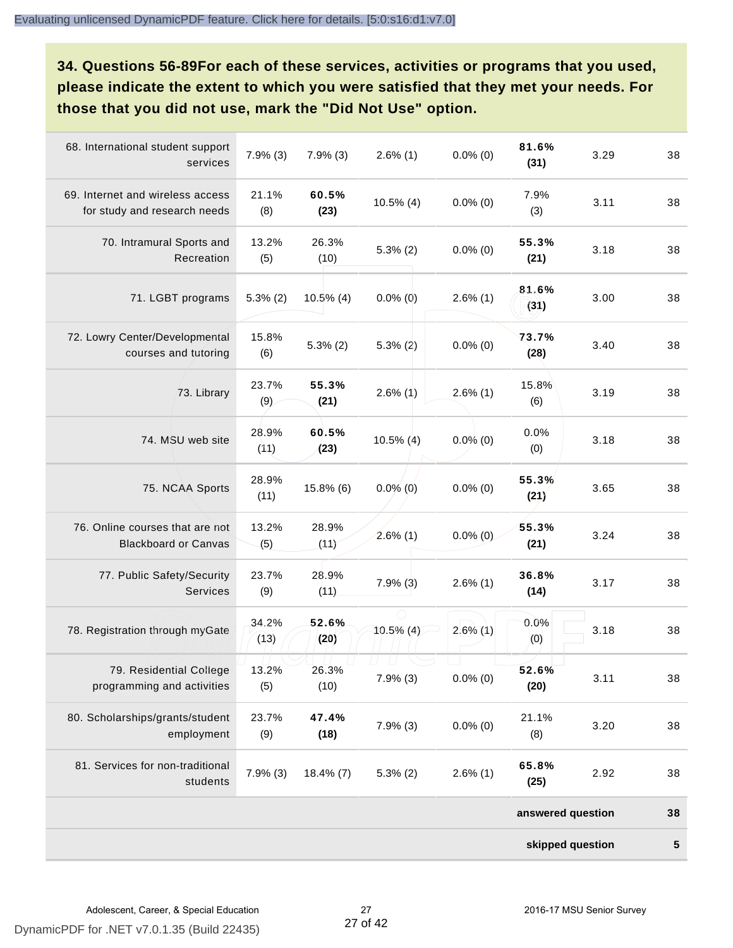**34. Questions 56-89For each of these services, activities or programs that you used, please indicate the extent to which you were satisfied that they met your needs. For those that you did not use, mark the "Did Not Use" option.**

|                                                                  |               |               |              |             | skipped question  |      | 5  |
|------------------------------------------------------------------|---------------|---------------|--------------|-------------|-------------------|------|----|
|                                                                  |               |               |              |             | answered question |      | 38 |
| 81. Services for non-traditional<br>students                     | $7.9\%$ (3)   | $18.4\%$ (7)  | $5.3\%$ (2)  | $2.6\%$ (1) | 65.8%<br>(25)     | 2.92 | 38 |
| 80. Scholarships/grants/student<br>employment                    | 23.7%<br>(9)  | 47.4%<br>(18) | $7.9\%$ (3)  | $0.0\%$ (0) | 21.1%<br>(8)      | 3.20 | 38 |
| 79. Residential College<br>programming and activities            | 13.2%<br>(5)  | 26.3%<br>(10) | $7.9\%$ (3)  | $0.0\%$ (0) | 52.6%<br>(20)     | 3.11 | 38 |
| 78. Registration through myGate                                  | 34.2%<br>(13) | 52.6%<br>(20) | $10.5\%$ (4) | $2.6\%$ (1) | 0.0%<br>(0)       | 3.18 | 38 |
| 77. Public Safety/Security<br>Services                           | 23.7%<br>(9)  | 28.9%<br>(11) | $7.9\%$ (3)  | $2.6\%$ (1) | 36.8%<br>(14)     | 3.17 | 38 |
| 76. Online courses that are not<br><b>Blackboard or Canvas</b>   | 13.2%<br>(5)  | 28.9%<br>(11) | $2.6\%$ (1)  | $0.0\%$ (0) | 55.3%<br>(21)     | 3.24 | 38 |
| 75. NCAA Sports                                                  | 28.9%<br>(11) | 15.8% (6)     | $0.0\%$ (0)  | $0.0\%$ (0) | 55.3%<br>(21)     | 3.65 | 38 |
| 74. MSU web site                                                 | 28.9%<br>(11) | 60.5%<br>(23) | $10.5\%$ (4) | $0.0\%$ (0) | 0.0%<br>(0)       | 3.18 | 38 |
| 73. Library                                                      | 23.7%<br>(9)  | 55.3%<br>(21) | $2.6\%$ (1)  | $2.6\%$ (1) | 15.8%<br>(6)      | 3.19 | 38 |
| 72. Lowry Center/Developmental<br>courses and tutoring           | 15.8%<br>(6)  | $5.3\%$ (2)   | $5.3\% (2)$  | $0.0\%$ (0) | 73.7%<br>(28)     | 3.40 | 38 |
| 71. LGBT programs                                                | $5.3\%$ (2)   | $10.5\%$ (4)  | $0.0\%$ (0)  | $2.6\%$ (1) | 81.6%<br>(31)     | 3.00 | 38 |
| 70. Intramural Sports and<br>Recreation                          | 13.2%<br>(5)  | 26.3%<br>(10) | $5.3\%$ (2)  | $0.0\%$ (0) | 55.3%<br>(21)     | 3.18 | 38 |
| 69. Internet and wireless access<br>for study and research needs | 21.1%<br>(8)  | 60.5%<br>(23) | $10.5\%$ (4) | $0.0\%$ (0) | 7.9%<br>(3)       | 3.11 | 38 |
| 68. International student support<br>services                    | $7.9%$ (3)    | $7.9\%$ (3)   | $2.6\%$ (1)  | $0.0\%$ (0) | 81.6%<br>(31)     | 3.29 | 38 |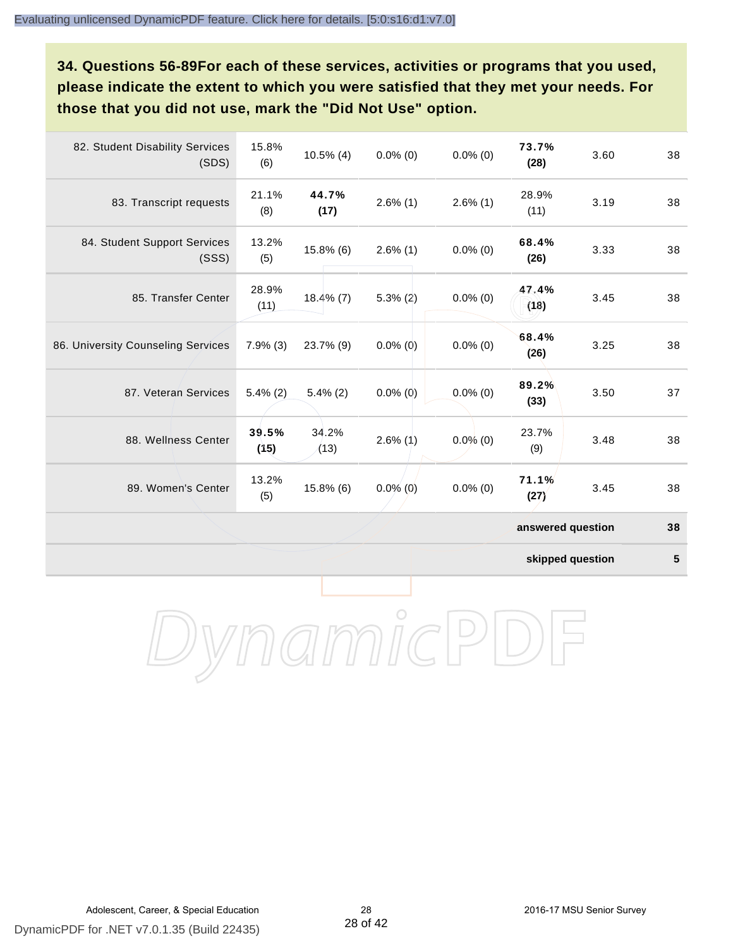**34. Questions 56-89For each of these services, activities or programs that you used, please indicate the extent to which you were satisfied that they met your needs. For those that you did not use, mark the "Did Not Use" option.**

| 82. Student Disability Services<br>(SDS) | 15.8%<br>(6)  | $10.5\%$ (4)  | $0.0\%$ (0) | $0.0\%$ (0) | 73.7%<br>(28)     | 3.60 | 38 |
|------------------------------------------|---------------|---------------|-------------|-------------|-------------------|------|----|
| 83. Transcript requests                  | 21.1%<br>(8)  | 44.7%<br>(17) | $2.6\%$ (1) | $2.6\%$ (1) | 28.9%<br>(11)     | 3.19 | 38 |
| 84. Student Support Services<br>(SSS)    | 13.2%<br>(5)  | 15.8% (6)     | $2.6\%$ (1) | $0.0\%$ (0) | 68.4%<br>(26)     | 3.33 | 38 |
| 85. Transfer Center                      | 28.9%<br>(11) | $18.4\%$ (7)  | $5.3\%$ (2) | $0.0\%$ (0) | 47.4%<br>(18)     | 3.45 | 38 |
| 86. University Counseling Services       | 7.9%(3)       | 23.7% (9)     | $0.0\%$ (0) | $0.0\%$ (0) | 68.4%<br>(26)     | 3.25 | 38 |
| 87. Veteran Services                     | $5.4\%$ (2)   | $5.4\%$ (2)   | $0.0\%$ (0) | $0.0\%$ (0) | 89.2%<br>(33)     | 3.50 | 37 |
| 88. Wellness Center                      | 39.5%<br>(15) | 34.2%<br>(13) | $2.6\%$ (1) | $0.0\%$ (0) | 23.7%<br>(9)      | 3.48 | 38 |
| 89. Women's Center                       | 13.2%<br>(5)  | 15.8% (6)     | $0.0\%$ (0) | $0.0\%$ (0) | 71.1%<br>(27)     | 3.45 | 38 |
|                                          |               |               |             |             | answered question |      | 38 |

**skipped question 5**

DynamicPDF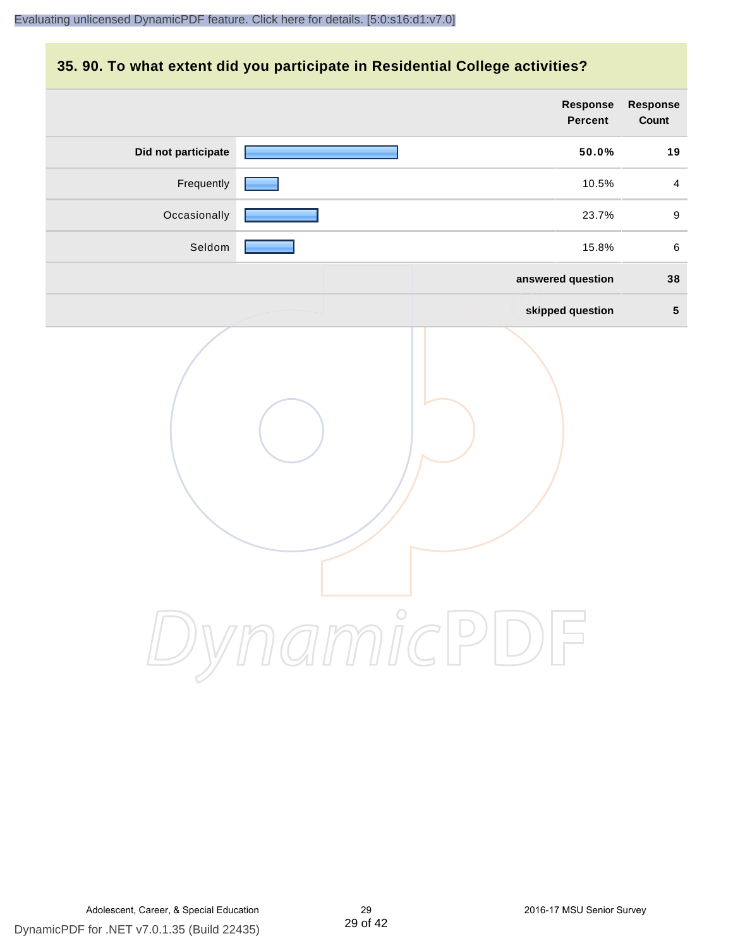#### **35. 90. To what extent did you participate in Residential College activities?**

|                     | Response<br>Percent | Response<br>Count |
|---------------------|---------------------|-------------------|
| Did not participate | 50.0%               | 19                |
| Frequently          | 10.5%               | $\overline{4}$    |
| Occasionally        | 23.7%               | $\boldsymbol{9}$  |
| Seldom              | 15.8%               | $\,6\,$           |
|                     | answered question   | 38                |
|                     | skipped question    | $5\phantom{.0}$   |
|                     | ynamicPl<br>$\Box$  |                   |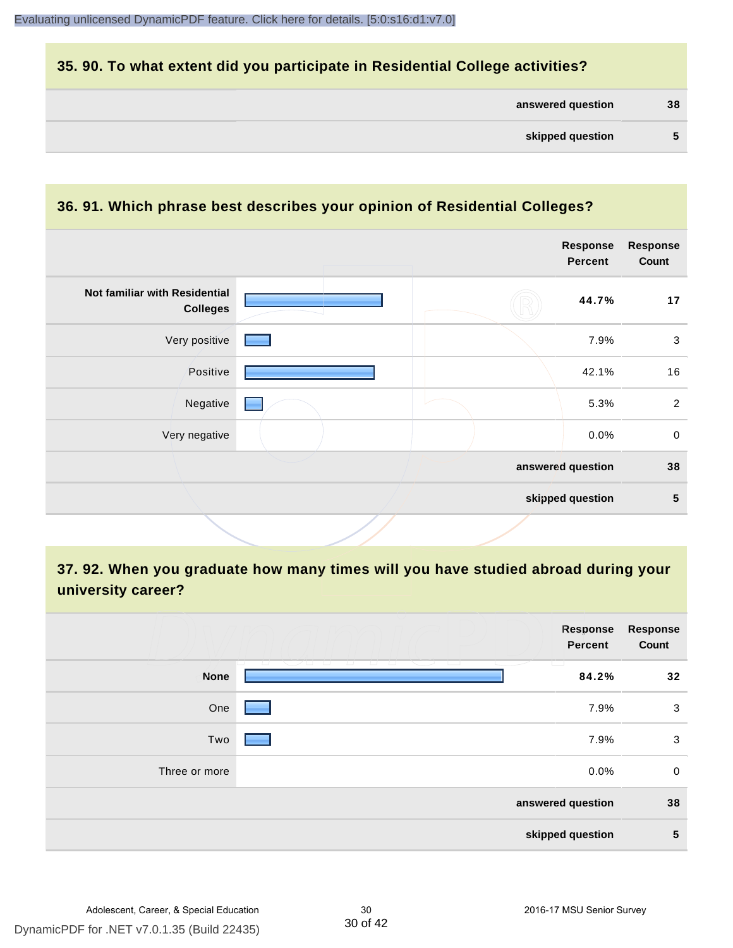#### **35. 90. To what extent did you participate in Residential College activities?**

| answered question | 38 |
|-------------------|----|
|-------------------|----|

#### **36. 91. Which phrase best describes your opinion of Residential Colleges?**

|                                                  |  | <b>Response</b><br><b>Percent</b> | <b>Response</b><br>Count |
|--------------------------------------------------|--|-----------------------------------|--------------------------|
| Not familiar with Residential<br><b>Colleges</b> |  | 44.7%                             | 17                       |
| Very positive                                    |  | 7.9%                              | $\mathbf{3}$             |
| Positive                                         |  | 42.1%                             | 16                       |
| Negative                                         |  | 5.3%                              | $\overline{2}$           |
| Very negative                                    |  | 0.0%                              | $\mathbf 0$              |
|                                                  |  | answered question                 | 38                       |
|                                                  |  | skipped question                  | $5\phantom{1}$           |

# **37. 92. When you graduate how many times will you have studied abroad during your university career?**

|               | <b>Response</b><br>Percent                                         | <b>Response</b><br>Count |
|---------------|--------------------------------------------------------------------|--------------------------|
| <b>None</b>   | <u>to a</u><br><u>tan Serangara</u><br>and a start of the<br>84.2% | 32                       |
| One           | 7.9%                                                               | 3                        |
| Two           | 7.9%                                                               | 3                        |
| Three or more | 0.0%                                                               | $\mathbf 0$              |
|               | answered question                                                  | 38                       |
|               | skipped question                                                   | 5                        |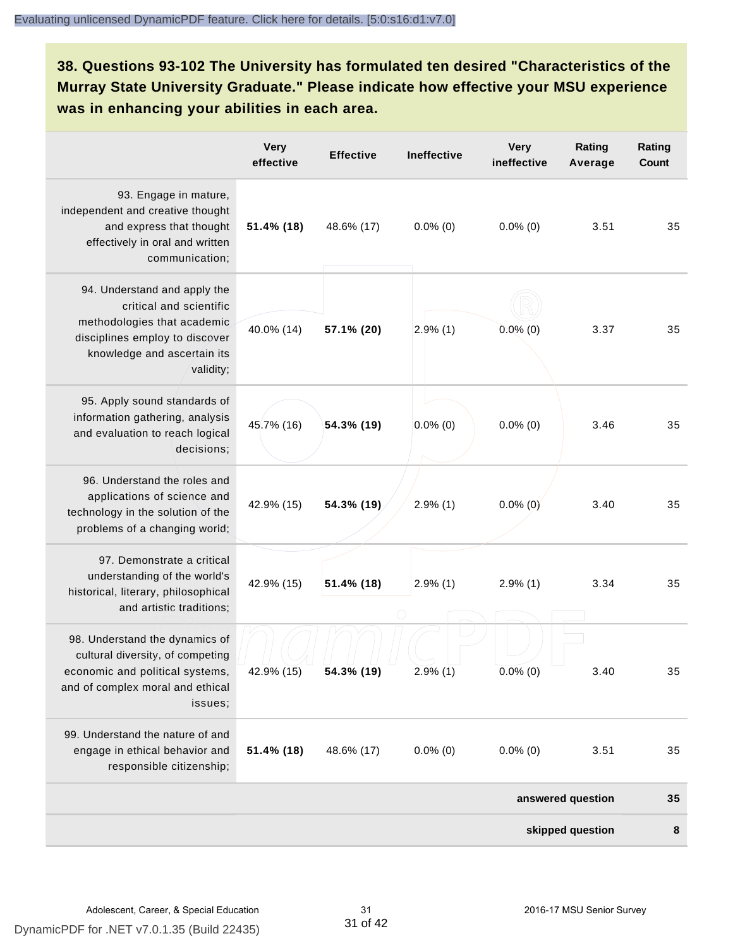# **38. Questions 93-102 The University has formulated ten desired "Characteristics of the Murray State University Graduate." Please indicate how effective your MSU experience was in enhancing your abilities in each area.**

|                                                                                                                                                                      | <b>Very</b><br>effective | <b>Effective</b> | Ineffective | <b>Very</b><br>ineffective | Rating<br>Average | Rating<br><b>Count</b> |
|----------------------------------------------------------------------------------------------------------------------------------------------------------------------|--------------------------|------------------|-------------|----------------------------|-------------------|------------------------|
| 93. Engage in mature,<br>independent and creative thought<br>and express that thought<br>effectively in oral and written<br>communication;                           | 51.4% (18)               | 48.6% (17)       | $0.0\%$ (0) | $0.0\%$ (0)                | 3.51              | 35                     |
| 94. Understand and apply the<br>critical and scientific<br>methodologies that academic<br>disciplines employ to discover<br>knowledge and ascertain its<br>validity; | 40.0% (14)               | 57.1% (20)       | 2.9%(1)     | $0.0\%$ (0)                | 3.37              | 35                     |
| 95. Apply sound standards of<br>information gathering, analysis<br>and evaluation to reach logical<br>decisions;                                                     | 45.7% (16)               | 54.3% (19)       | $0.0\%$ (0) | $0.0\%$ (0)                | 3.46              | 35                     |
| 96. Understand the roles and<br>applications of science and<br>technology in the solution of the<br>problems of a changing world;                                    | 42.9% (15)               | 54.3% (19)       | $2.9\%$ (1) | $0.0\%$ (0)                | 3.40              | 35                     |
| 97. Demonstrate a critical<br>understanding of the world's<br>historical, literary, philosophical<br>and artistic traditions;                                        | 42.9% (15)               | 51.4% (18)       | $2.9\%$ (1) | $2.9\%$ (1)                | 3.34              | 35                     |
| 98. Understand the dynamics of<br>cultural diversity, of competing<br>economic and political systems,<br>and of complex moral and ethical<br>issues;                 | 42.9% (15)               | 54.3% (19)       | $2.9\%$ (1) | $0.0\%$ (0)                | 3.40              | 35                     |
| 99. Understand the nature of and<br>engage in ethical behavior and<br>responsible citizenship;                                                                       | 51.4% (18)               | 48.6% (17)       | $0.0\%$ (0) | $0.0\%$ (0)                | 3.51              | 35                     |
|                                                                                                                                                                      |                          |                  |             |                            | answered question | 35                     |
|                                                                                                                                                                      |                          |                  |             |                            | skipped question  | 8                      |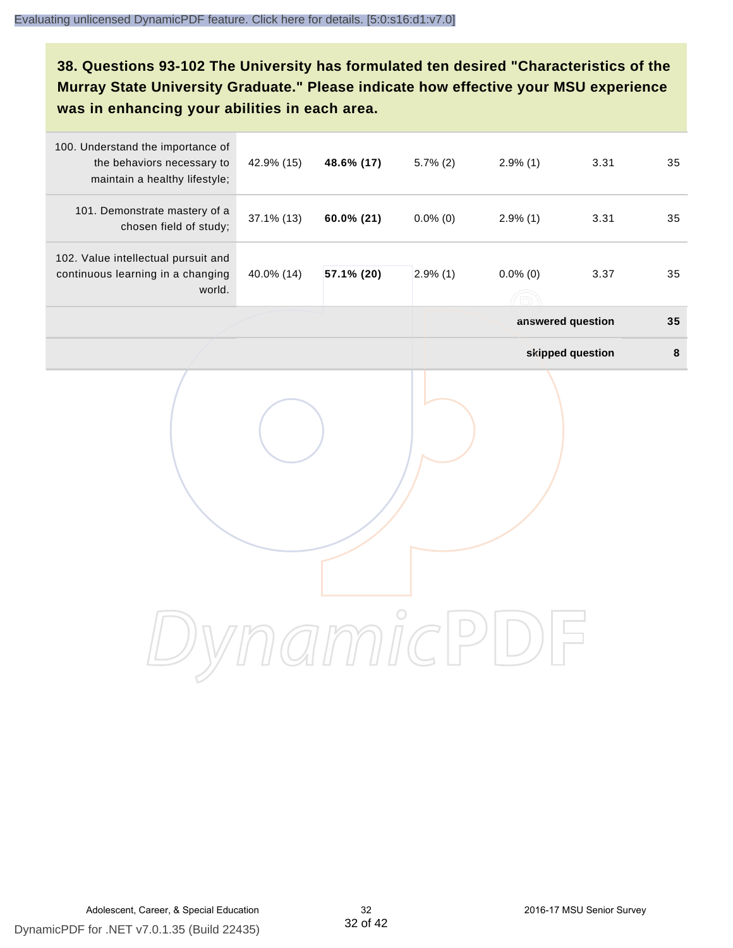# **38. Questions 93-102 The University has formulated ten desired "Characteristics of the Murray State University Graduate." Please indicate how effective your MSU experience was in enhancing your abilities in each area.**

| 100. Understand the importance of<br>the behaviors necessary to<br>maintain a healthy lifestyle; | 42.9% (15) | 48.6% (17) | $5.7\%$ (2) | $2.9\%$ (1)       | 3.31             | 35     |
|--------------------------------------------------------------------------------------------------|------------|------------|-------------|-------------------|------------------|--------|
| 101. Demonstrate mastery of a<br>chosen field of study;                                          | 37.1% (13) | 60.0% (21) | $0.0\%$ (0) | $2.9\%$ (1)       | 3.31             | 35     |
| 102. Value intellectual pursuit and<br>continuous learning in a changing<br>world.               | 40.0% (14) | 57.1% (20) | $2.9\%$ (1) | $0.0\%$ (0)       | 3.37             | 35     |
|                                                                                                  |            |            |             | answered question |                  | 35     |
|                                                                                                  |            |            |             |                   | skipped question | $\bf8$ |
|                                                                                                  |            |            |             |                   |                  |        |
|                                                                                                  |            |            |             |                   |                  |        |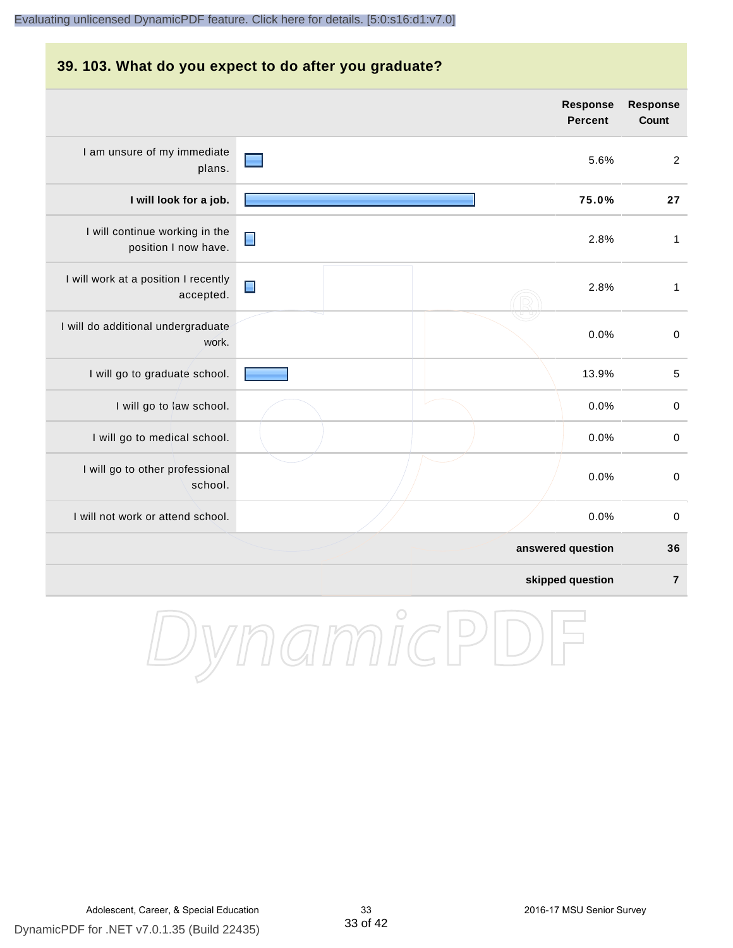#### [Evaluating unlicensed DynamicPDF feature. Click here for details. \[5:0:s16:d1:v7.0\]](http://www.DynamicPDF.com/dplic/?d=T(EuYmIrxFe0nIre) **39. 103. What do you expect to do after you graduate? Response Response Percent Count** I am unsure of my immediate 5.6% 2 plans. **I will look for a job. 75.0% 27** I will continue working in the ∎ 2.8% 1 position I now have. I will work at a position I recently  $\blacksquare$ 2.8% 1 accepted. I will do additional undergraduate 0.0% 0 work. I will go to graduate school. **13.9%** 5 I will go to law school.  $\sim$  0.0% 0 I will go to medical school.  $\begin{pmatrix} 0.0\% & 0 \end{pmatrix}$ I will go to other professional 0.0% 0 school. I will not work or attend school. 0.0% 0

**answered question 36 skipped question 7**

DynamicPD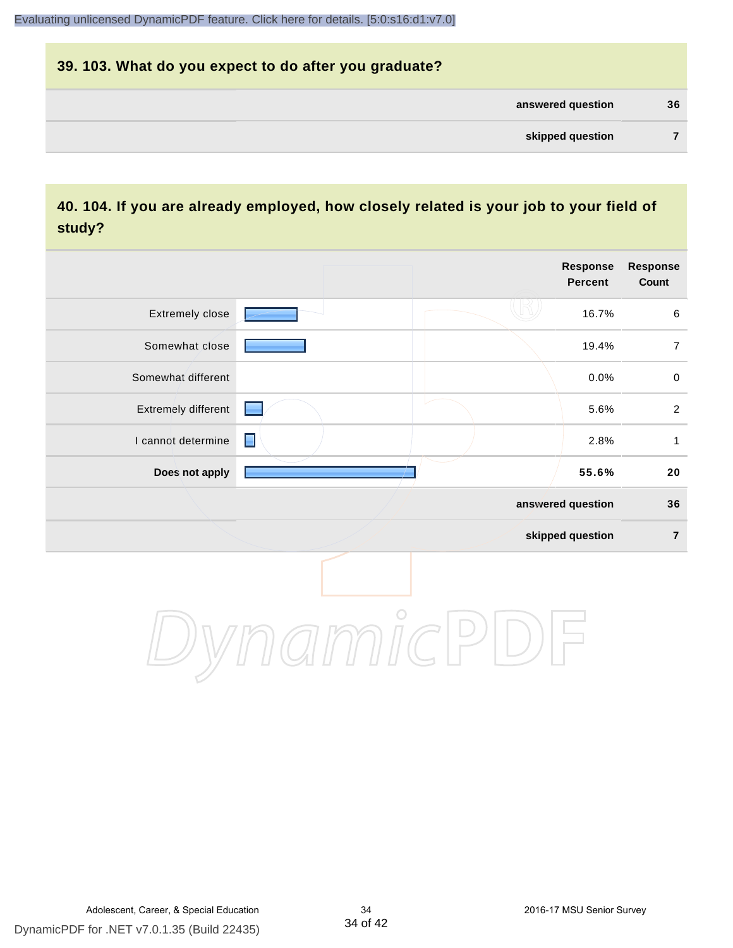# **39. 103. What do you expect to do after you graduate? answered question 36 skipped question 7**

#### **40. 104. If you are already employed, how closely related is your job to your field of study?**

|                     |                |               | Response<br><b>Percent</b> | Response<br>Count |
|---------------------|----------------|---------------|----------------------------|-------------------|
| Extremely close     |                |               | 16.7%                      | $\,6\,$           |
| Somewhat close      |                |               | 19.4%                      | $\boldsymbol{7}$  |
| Somewhat different  |                |               | 0.0%                       | $\pmb{0}$         |
| Extremely different |                |               | 5.6%                       | $\overline{2}$    |
| I cannot determine  | $\blacksquare$ |               | 2.8%                       | $\mathbf{1}$      |
| Does not apply      |                |               | 55.6%                      | ${\bf 20}$        |
|                     |                |               | answered question          | 36                |
|                     |                |               | skipped question           | $\overline{7}$    |
|                     |                | $\mathcal{C}$ |                            |                   |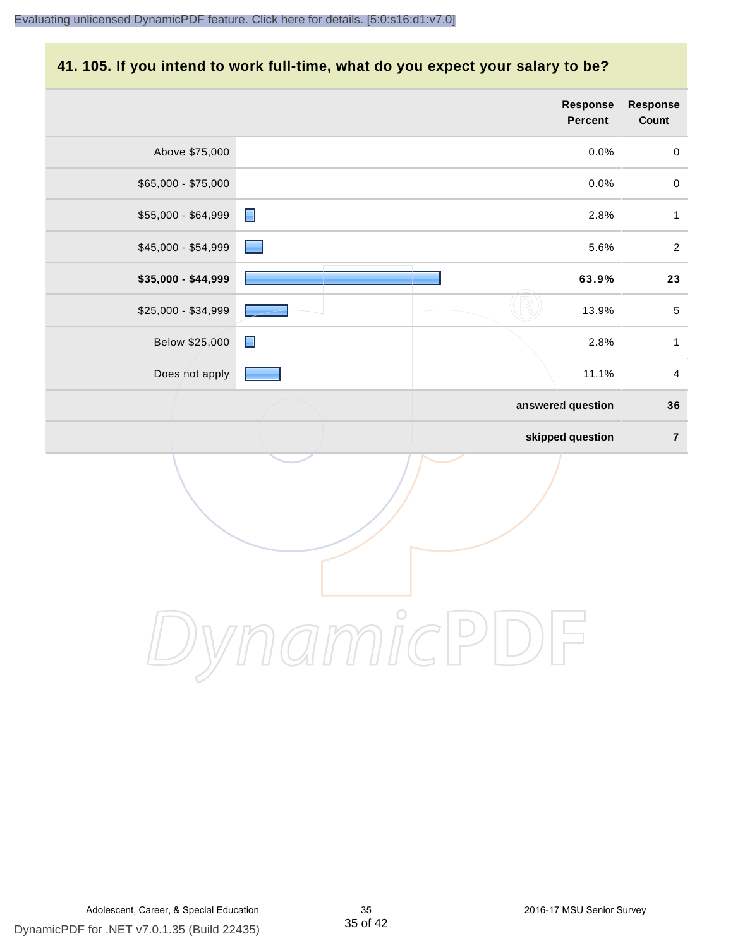# **41. 105. If you intend to work full-time, what do you expect your salary to be?**

|                     | <b>Response</b><br>Percent | <b>Response</b><br>Count |
|---------------------|----------------------------|--------------------------|
| Above \$75,000      | 0.0%                       | $\mathbf 0$              |
| \$65,000 - \$75,000 | 0.0%                       | $\mathbf 0$              |
| \$55,000 - \$64,999 | $\blacksquare$<br>2.8%     | $\mathbf{1}$             |
| \$45,000 - \$54,999 | 5.6%                       | $\overline{c}$           |
| \$35,000 - \$44,999 | 63.9%                      | 23                       |
| \$25,000 - \$34,999 | 13.9%                      | $\,$ 5 $\,$              |
| Below \$25,000      | 2.8%<br>$\blacksquare$     | $\mathbf{1}$             |
| Does not apply      | 11.1%                      | $\overline{4}$           |
|                     | answered question          | 36                       |
|                     | skipped question           | $\overline{7}$           |
|                     |                            |                          |
|                     | $m\mathring{\text{IC}}$    |                          |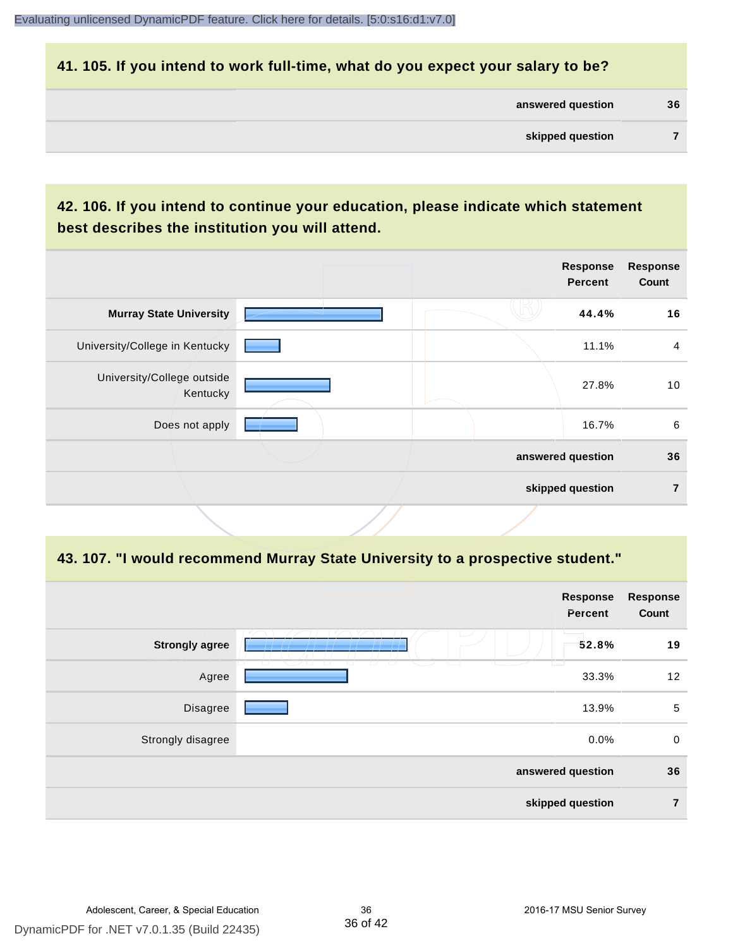#### **41. 105. If you intend to work full-time, what do you expect your salary to be?**

| answered question | 36 |
|-------------------|----|
|                   |    |

# **42. 106. If you intend to continue your education, please indicate which statement best describes the institution you will attend.**

|                                        |  | <b>Response</b><br>Percent | <b>Response</b><br>Count |
|----------------------------------------|--|----------------------------|--------------------------|
| <b>Murray State University</b>         |  | 44.4%                      | 16                       |
| University/College in Kentucky         |  | 11.1%                      | $\overline{4}$           |
| University/College outside<br>Kentucky |  | 27.8%                      | 10                       |
| Does not apply                         |  | 16.7%                      | 6                        |
|                                        |  | answered question          | 36                       |
|                                        |  | skipped question           | 7                        |
|                                        |  |                            |                          |

#### **43. 107. "I would recommend Murray State University to a prospective student."**

|                       |                          | Response<br>Percent | <b>Response</b><br>Count |
|-----------------------|--------------------------|---------------------|--------------------------|
| <b>Strongly agree</b> |                          | 52.8%               | 19                       |
| Agree                 | $\overline{\phantom{0}}$ | 33.3%               | 12                       |
| Disagree              |                          | 13.9%               | 5                        |
| Strongly disagree     |                          | 0.0%                | $\mathbf 0$              |
|                       | answered question        |                     | 36                       |
| skipped question      |                          |                     | $\overline{7}$           |
|                       |                          |                     |                          |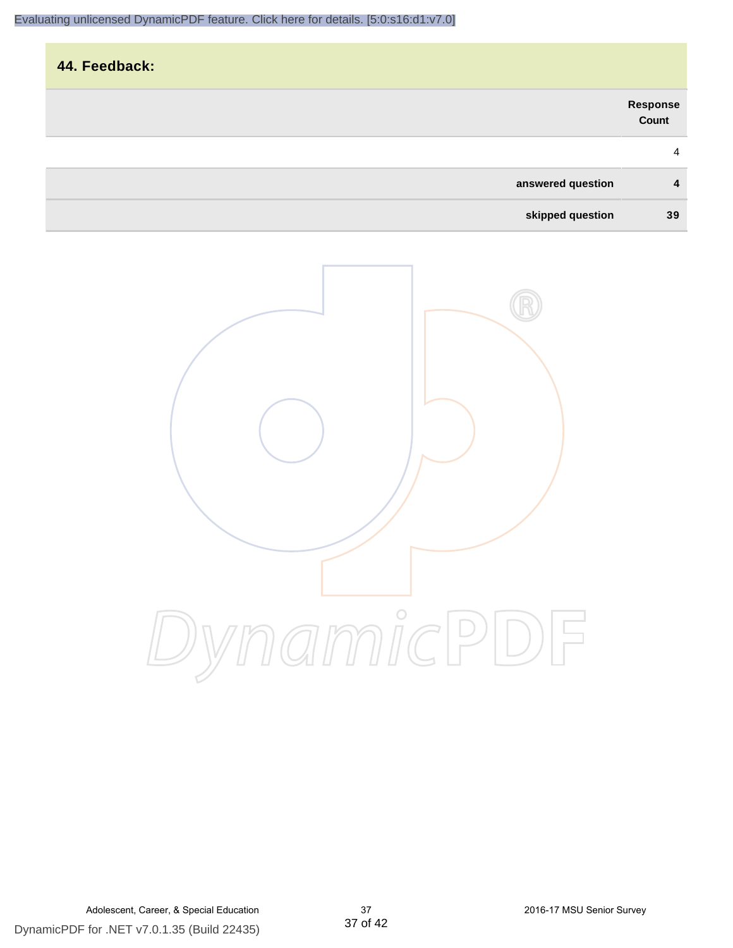|                        | 44. Feedback: |
|------------------------|---------------|
| Response<br>Count      |               |
| 4                      |               |
| answered question<br>4 |               |
| skipped question<br>39 |               |

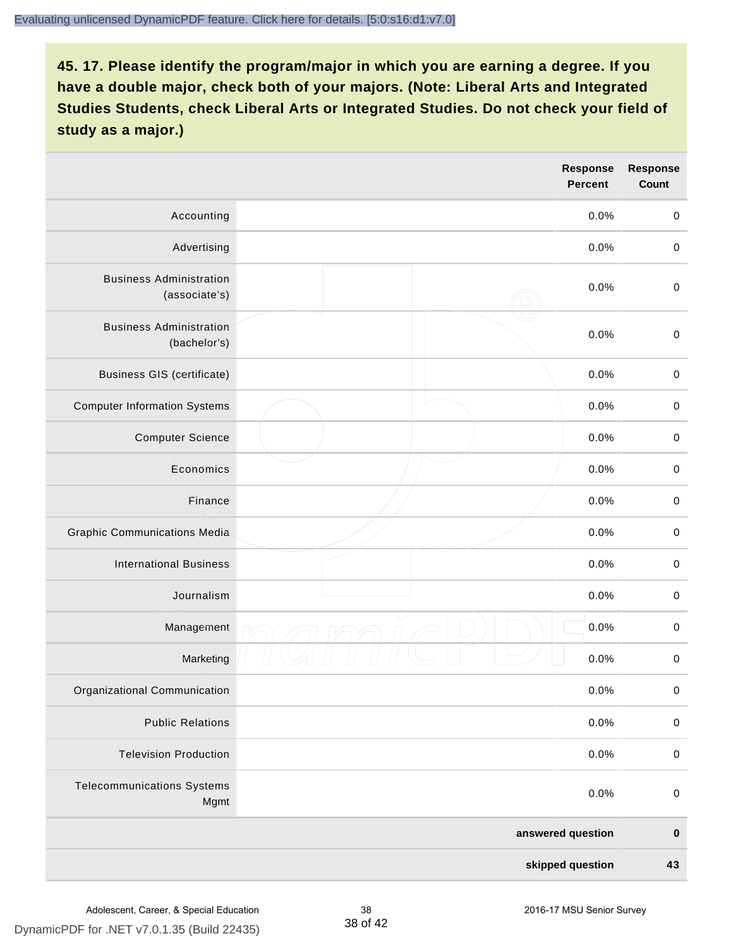|                                                 |  | Response<br><b>Percent</b> | <b>Response</b><br>Count |
|-------------------------------------------------|--|----------------------------|--------------------------|
| Accounting                                      |  | 0.0%                       | $\mathbf 0$              |
| Advertising                                     |  | 0.0%                       | $\mathbf 0$              |
| <b>Business Administration</b><br>(associate's) |  | 0.0%                       | $\mathbf 0$              |
| <b>Business Administration</b><br>(bachelor's)  |  | 0.0%                       | $\pmb{0}$                |
| <b>Business GIS (certificate)</b>               |  | 0.0%                       | $\,0\,$                  |
| <b>Computer Information Systems</b>             |  | 0.0%                       | $\pmb{0}$                |
| <b>Computer Science</b>                         |  | 0.0%                       | $\pmb{0}$                |
| Economics                                       |  | 0.0%                       | $\mathbf 0$              |
| Finance                                         |  | 0.0%                       | $\mathbf 0$              |
| <b>Graphic Communications Media</b>             |  | 0.0%                       | $\mathbf 0$              |
| <b>International Business</b>                   |  | 0.0%                       | $\pmb{0}$                |
| Journalism                                      |  | 0.0%                       | $\pmb{0}$                |
| Management                                      |  | 0.0%                       | $\pmb{0}$                |
| Marketing                                       |  | 0.0%                       | $\pmb{0}$                |
| Organizational Communication                    |  | 0.0%                       | $\pmb{0}$                |
| <b>Public Relations</b>                         |  | 0.0%                       | $\pmb{0}$                |
| <b>Television Production</b>                    |  | 0.0%                       | $\mathbf 0$              |
| <b>Telecommunications Systems</b><br>Mgmt       |  | 0.0%                       | $\pmb{0}$                |
|                                                 |  | answered question          | $\pmb{0}$                |
| skipped question                                |  | 43                         |                          |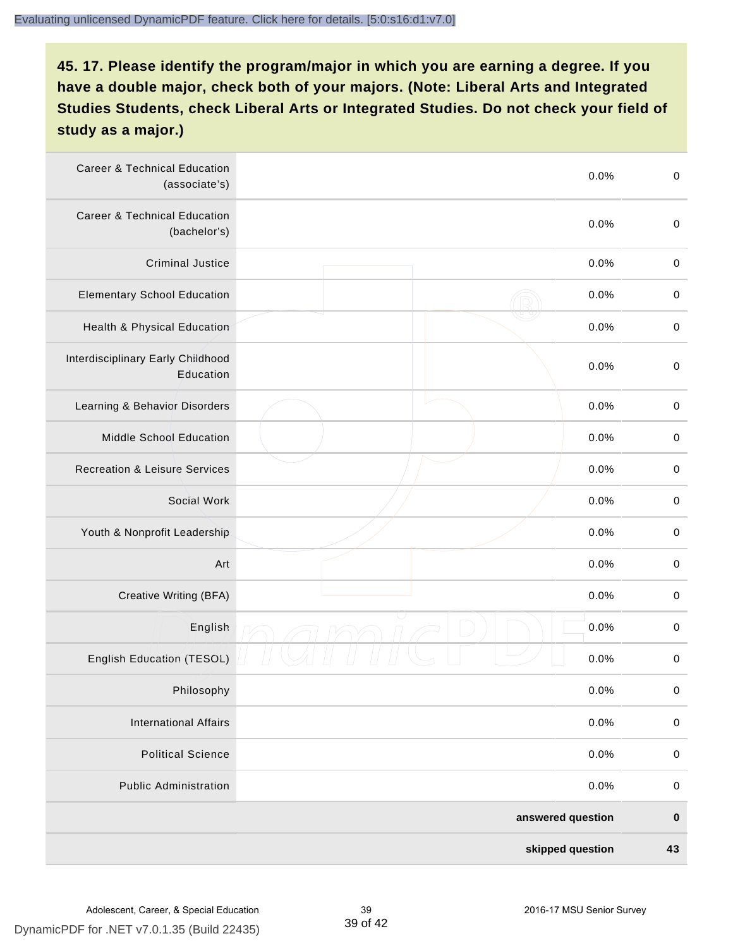| <b>Career &amp; Technical Education</b><br>(associate's) | 0.0%              | $\pmb{0}$   |
|----------------------------------------------------------|-------------------|-------------|
| <b>Career &amp; Technical Education</b><br>(bachelor's)  | 0.0%              | $\mathbf 0$ |
| <b>Criminal Justice</b>                                  | 0.0%              | $\pmb{0}$   |
| <b>Elementary School Education</b>                       | 0.0%              | $\pmb{0}$   |
| Health & Physical Education                              | 0.0%              | $\pmb{0}$   |
| Interdisciplinary Early Childhood<br>Education           | 0.0%              | $\pmb{0}$   |
| Learning & Behavior Disorders                            | 0.0%              | $\pmb{0}$   |
| Middle School Education                                  | 0.0%              | $\mathbf 0$ |
| <b>Recreation &amp; Leisure Services</b>                 | 0.0%              | $\mathbf 0$ |
| Social Work                                              | 0.0%              | $\mathbf 0$ |
| Youth & Nonprofit Leadership                             | 0.0%              | $\mathbf 0$ |
| Art                                                      | 0.0%              | $\pmb{0}$   |
| Creative Writing (BFA)                                   | 0.0%              | $\pmb{0}$   |
| English                                                  | 0.0%              | $\pmb{0}$   |
| English Education (TESOL)                                | 0.0%              | $\pmb{0}$   |
| Philosophy                                               | 0.0%              | 0           |
| <b>International Affairs</b>                             | 0.0%              | $\pmb{0}$   |
| <b>Political Science</b>                                 | 0.0%              | $\mathbf 0$ |
| <b>Public Administration</b>                             | 0.0%              | $\mathbf 0$ |
|                                                          | answered question | $\pmb{0}$   |
|                                                          | skipped question  | 43          |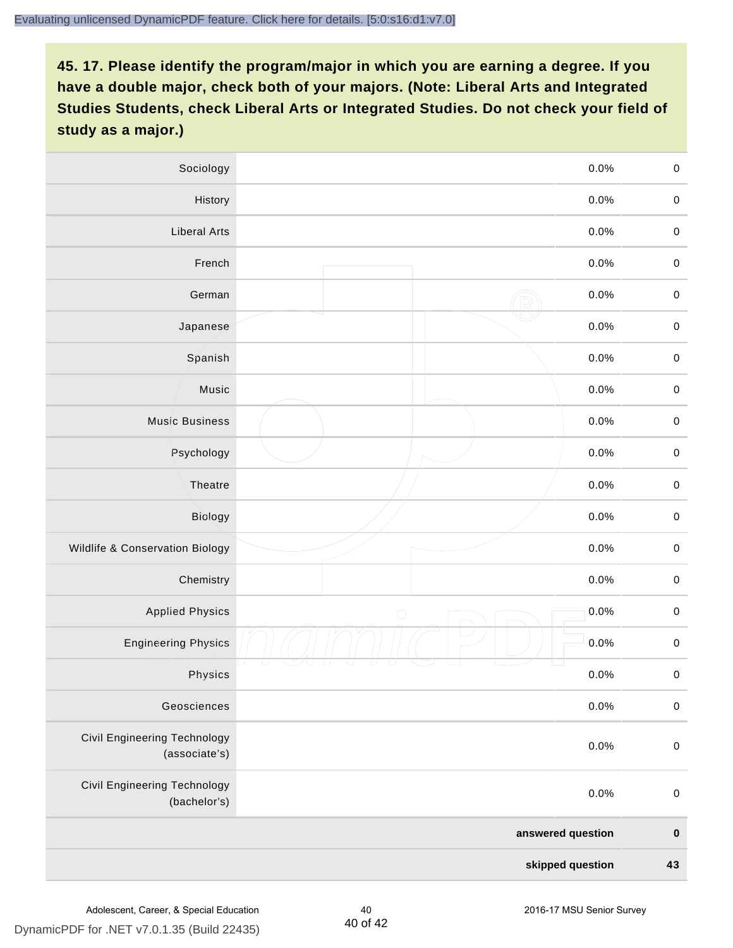| Sociology                                     | 0.0%              |         | $\mathbf 0$ |
|-----------------------------------------------|-------------------|---------|-------------|
| History                                       |                   | $0.0\%$ | $\mathbf 0$ |
| <b>Liberal Arts</b>                           |                   | 0.0%    | $\mathbf 0$ |
| French                                        |                   | 0.0%    | $\pmb{0}$   |
| German                                        |                   | 0.0%    | $\mathbf 0$ |
| Japanese                                      |                   | 0.0%    | $\mathbf 0$ |
| Spanish                                       |                   | 0.0%    | $\mathbf 0$ |
| Music                                         |                   | 0.0%    | $\mathbf 0$ |
| <b>Music Business</b>                         |                   | 0.0%    | $\pmb{0}$   |
| Psychology                                    |                   | 0.0%    | $\mathbf 0$ |
| Theatre                                       |                   | 0.0%    | $\mathbf 0$ |
| Biology                                       |                   | 0.0%    | $\mathbf 0$ |
| Wildlife & Conservation Biology               |                   | 0.0%    | $\mathbf 0$ |
| Chemistry                                     |                   | 0.0%    | $\pmb{0}$   |
| <b>Applied Physics</b>                        | $\bigcirc$        | 0.0%    | $\mathbf 0$ |
| <b>Engineering Physics</b>                    |                   | 0.0%    | $\mathbf 0$ |
| Physics                                       |                   | 0.0%    | $\mathbf 0$ |
| Geosciences                                   |                   | 0.0%    | $\mathbf 0$ |
| Civil Engineering Technology<br>(associate's) |                   | 0.0%    | $\pmb{0}$   |
| Civil Engineering Technology<br>(bachelor's)  |                   | 0.0%    | $\pmb{0}$   |
|                                               | answered question |         | $\pmb{0}$   |
| skipped question                              |                   |         | 43          |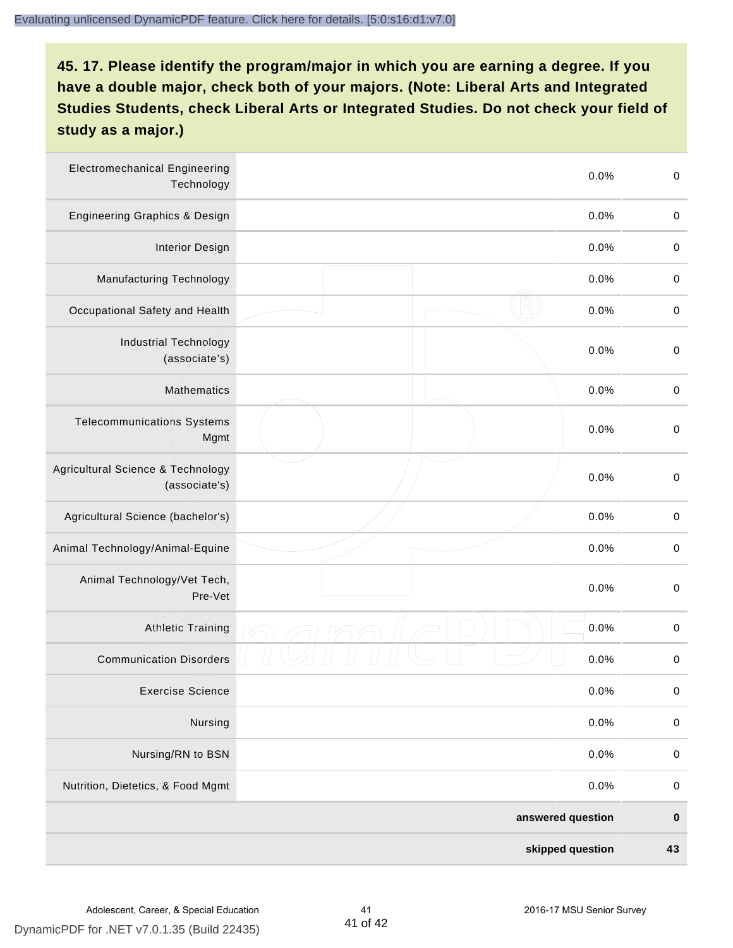| <b>Electromechanical Engineering</b><br>Technology | 0.0%              | $\mathbf 0$ |
|----------------------------------------------------|-------------------|-------------|
| <b>Engineering Graphics &amp; Design</b>           | 0.0%              | $\mathbf 0$ |
| <b>Interior Design</b>                             | 0.0%              | $\pmb{0}$   |
| Manufacturing Technology                           | 0.0%              | $\pmb{0}$   |
| Occupational Safety and Health                     | 0.0%              | $\pmb{0}$   |
| <b>Industrial Technology</b><br>(associate's)      | 0.0%              | $\pmb{0}$   |
| <b>Mathematics</b>                                 | 0.0%              | $\pmb{0}$   |
| <b>Telecommunications Systems</b><br>Mgmt          | 0.0%              | $\pmb{0}$   |
| Agricultural Science & Technology<br>(associate's) | 0.0%              | $\mathbf 0$ |
| Agricultural Science (bachelor's)                  | 0.0%              | $\mathbf 0$ |
| Animal Technology/Animal-Equine                    | 0.0%              | $\pmb{0}$   |
| Animal Technology/Vet Tech,<br>Pre-Vet             | 0.0%              | $\pmb{0}$   |
| Athletic Training                                  | 0.0%              | $\pmb{0}$   |
| <b>Communication Disorders</b>                     | 0.0%              | $\pmb{0}$   |
| <b>Exercise Science</b>                            | 0.0%              | $\pmb{0}$   |
| Nursing                                            | 0.0%              | $\mathbf 0$ |
| Nursing/RN to BSN                                  | 0.0%              | $\pmb{0}$   |
| Nutrition, Dietetics, & Food Mgmt                  | 0.0%              | $\,0\,$     |
|                                                    | answered question | $\pmb{0}$   |
|                                                    | skipped question  | 43          |